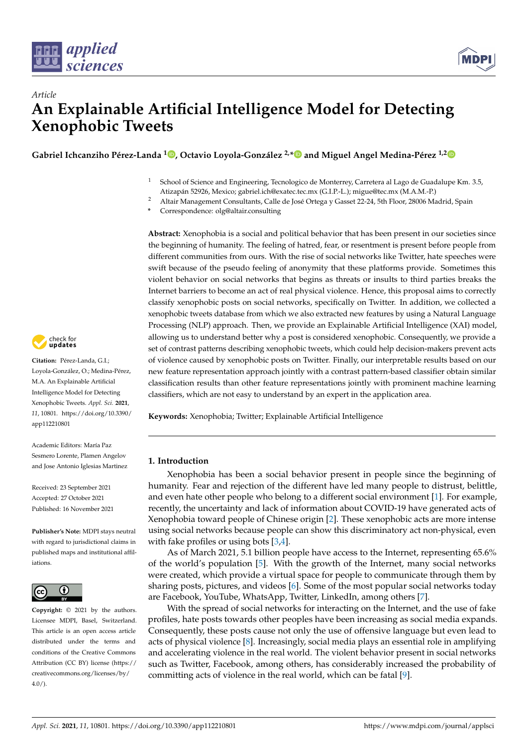



# *Article* **An Explainable Artificial Intelligence Model for Detecting Xenophobic Tweets**

**Gabriel Ichcanziho Pérez-Landa <sup>1</sup> [,](https://orcid.org/0000-0002-0668-8737) Octavio Loyola-González 2,[\\*](https://orcid.org/0000-0002-6910-5922) and Miguel Angel Medina-Pérez 1,[2](https://orcid.org/0000-0003-4511-2252)**

- <sup>1</sup> School of Science and Engineering, Tecnologico de Monterrey, Carretera al Lago de Guadalupe Km. 3.5, Atizapán 52926, Mexico; gabriel.ich@exatec.tec.mx (G.I.P.-L.); migue@tec.mx (M.A.M.-P.)
- <sup>2</sup> Altair Management Consultants, Calle de José Ortega y Gasset 22-24, 5th Floor, 28006 Madrid, Spain
- **\*** Correspondence: olg@altair.consulting

**Abstract:** Xenophobia is a social and political behavior that has been present in our societies since the beginning of humanity. The feeling of hatred, fear, or resentment is present before people from different communities from ours. With the rise of social networks like Twitter, hate speeches were swift because of the pseudo feeling of anonymity that these platforms provide. Sometimes this violent behavior on social networks that begins as threats or insults to third parties breaks the Internet barriers to become an act of real physical violence. Hence, this proposal aims to correctly classify xenophobic posts on social networks, specifically on Twitter. In addition, we collected a xenophobic tweets database from which we also extracted new features by using a Natural Language Processing (NLP) approach. Then, we provide an Explainable Artificial Intelligence (XAI) model, allowing us to understand better why a post is considered xenophobic. Consequently, we provide a set of contrast patterns describing xenophobic tweets, which could help decision-makers prevent acts of violence caused by xenophobic posts on Twitter. Finally, our interpretable results based on our new feature representation approach jointly with a contrast pattern-based classifier obtain similar classification results than other feature representations jointly with prominent machine learning classifiers, which are not easy to understand by an expert in the application area.

**Keywords:** Xenophobia; Twitter; Explainable Artificial Intelligence

## **1. Introduction**

Xenophobia has been a social behavior present in people since the beginning of humanity. Fear and rejection of the different have led many people to distrust, belittle, and even hate other people who belong to a different social environment [\[1\]](#page-23-0). For example, recently, the uncertainty and lack of information about COVID-19 have generated acts of Xenophobia toward people of Chinese origin [\[2\]](#page-23-1). These xenophobic acts are more intense using social networks because people can show this discriminatory act non-physical, even with fake profiles or using bots [\[3](#page-23-2)[,4\]](#page-23-3).

As of March 2021, 5.1 billion people have access to the Internet, representing 65.6% of the world's population [\[5\]](#page-23-4). With the growth of the Internet, many social networks were created, which provide a virtual space for people to communicate through them by sharing posts, pictures, and videos [\[6\]](#page-23-5). Some of the most popular social networks today are Facebook, YouTube, WhatsApp, Twitter, LinkedIn, among others [\[7\]](#page-23-6).

With the spread of social networks for interacting on the Internet, and the use of fake profiles, hate posts towards other peoples have been increasing as social media expands. Consequently, these posts cause not only the use of offensive language but even lead to acts of physical violence [\[8\]](#page-23-7). Increasingly, social media plays an essential role in amplifying and accelerating violence in the real world. The violent behavior present in social networks such as Twitter, Facebook, among others, has considerably increased the probability of committing acts of violence in the real world, which can be fatal [\[9\]](#page-23-8).



**Citation:** Pérez-Landa, G.I.; Loyola-González, O.; Medina-Pérez, M.A. An Explainable Artificial Intelligence Model for Detecting Xenophobic Tweets. *Appl. Sci.* **2021**, *11*, 10801. [https://doi.org/10.3390/](https://doi.org/10.3390/app112210801) [app112210801](https://doi.org/10.3390/app112210801)

Academic Editors: María Paz Sesmero Lorente, Plamen Angelov and Jose Antonio Iglesias Martinez

Received: 23 September 2021 Accepted: 27 October 2021 Published: 16 November 2021

**Publisher's Note:** MDPI stays neutral with regard to jurisdictional claims in published maps and institutional affiliations.



**Copyright:** © 2021 by the authors. Licensee MDPI, Basel, Switzerland. This article is an open access article distributed under the terms and conditions of the Creative Commons Attribution (CC BY) license (https:/[/](https://creativecommons.org/licenses/by/4.0/) [creativecommons.org/licenses/by/](https://creativecommons.org/licenses/by/4.0/)  $4.0/$ ).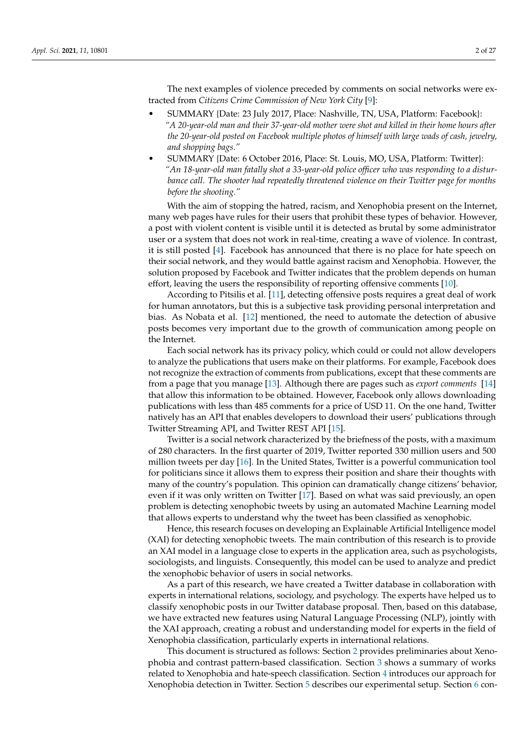The next examples of violence preceded by comments on social networks were extracted from *Citizens Crime Commission of New York City* [\[9\]](#page-23-8):

- SUMMARY {Date: 23 July 2017, Place: Nashville, TN, USA, Platform: Facebook}: *"A 20-year-old man and their 37-year-old mother were shot and killed in their home hours after the 20-year-old posted on Facebook multiple photos of himself with large wads of cash, jewelry, and shopping bags."*
- SUMMARY {Date: 6 October 2016, Place: St. Louis, MO, USA, Platform: Twitter}: *"An 18-year-old man fatally shot a 33-year-old police officer who was responding to a disturbance call. The shooter had repeatedly threatened violence on their Twitter page for months before the shooting."*

With the aim of stopping the hatred, racism, and Xenophobia present on the Internet, many web pages have rules for their users that prohibit these types of behavior. However, a post with violent content is visible until it is detected as brutal by some administrator user or a system that does not work in real-time, creating a wave of violence. In contrast, it is still posted [\[4\]](#page-23-3). Facebook has announced that there is no place for hate speech on their social network, and they would battle against racism and Xenophobia. However, the solution proposed by Facebook and Twitter indicates that the problem depends on human effort, leaving the users the responsibility of reporting offensive comments [\[10\]](#page-23-9).

According to Pitsilis et al. [\[11\]](#page-23-10), detecting offensive posts requires a great deal of work for human annotators, but this is a subjective task providing personal interpretation and bias. As Nobata et al. [\[12\]](#page-23-11) mentioned, the need to automate the detection of abusive posts becomes very important due to the growth of communication among people on the Internet.

Each social network has its privacy policy, which could or could not allow developers to analyze the publications that users make on their platforms. For example, Facebook does not recognize the extraction of comments from publications, except that these comments are from a page that you manage [\[13\]](#page-23-12). Although there are pages such as *export comments* [\[14\]](#page-23-13) that allow this information to be obtained. However, Facebook only allows downloading publications with less than 485 comments for a price of USD 11. On the one hand, Twitter natively has an API that enables developers to download their users' publications through Twitter Streaming API, and Twitter REST API [\[15\]](#page-23-14).

Twitter is a social network characterized by the briefness of the posts, with a maximum of 280 characters. In the first quarter of 2019, Twitter reported 330 million users and 500 million tweets per day [\[16\]](#page-23-15). In the United States, Twitter is a powerful communication tool for politicians since it allows them to express their position and share their thoughts with many of the country's population. This opinion can dramatically change citizens' behavior, even if it was only written on Twitter [\[17\]](#page-23-16). Based on what was said previously, an open problem is detecting xenophobic tweets by using an automated Machine Learning model that allows experts to understand why the tweet has been classified as xenophobic.

Hence, this research focuses on developing an Explainable Artificial Intelligence model (XAI) for detecting xenophobic tweets. The main contribution of this research is to provide an XAI model in a language close to experts in the application area, such as psychologists, sociologists, and linguists. Consequently, this model can be used to analyze and predict the xenophobic behavior of users in social networks.

As a part of this research, we have created a Twitter database in collaboration with experts in international relations, sociology, and psychology. The experts have helped us to classify xenophobic posts in our Twitter database proposal. Then, based on this database, we have extracted new features using Natural Language Processing (NLP), jointly with the XAI approach, creating a robust and understanding model for experts in the field of Xenophobia classification, particularly experts in international relations.

This document is structured as follows: Section [2](#page-2-0) provides preliminaries about Xenophobia and contrast pattern-based classification. Section [3](#page-5-0) shows a summary of works related to Xenophobia and hate-speech classification. Section [4](#page-7-0) introduces our approach for Xenophobia detection in Twitter. Section [5](#page-12-0) describes our experimental setup. Section [6](#page-14-0) con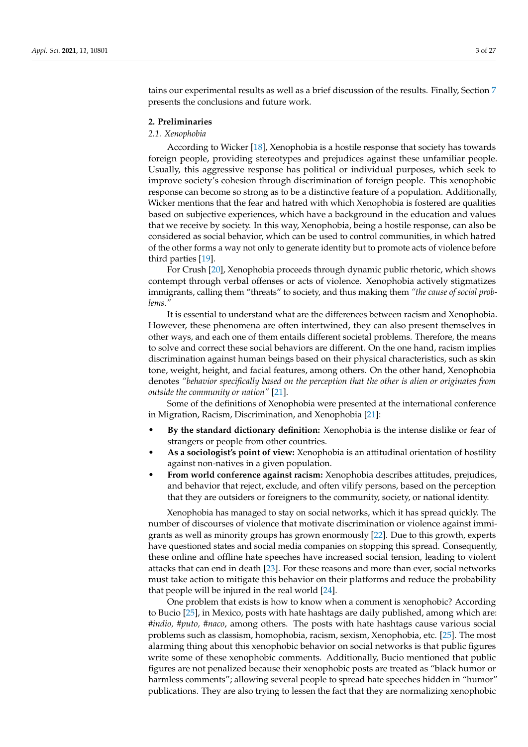tains our experimental results as well as a brief discussion of the results. Finally, Section [7](#page-20-0) presents the conclusions and future work.

## <span id="page-2-0"></span>**2. Preliminaries**

## *2.1. Xenophobia*

According to Wicker [\[18\]](#page-23-17), Xenophobia is a hostile response that society has towards foreign people, providing stereotypes and prejudices against these unfamiliar people. Usually, this aggressive response has political or individual purposes, which seek to improve society's cohesion through discrimination of foreign people. This xenophobic response can become so strong as to be a distinctive feature of a population. Additionally, Wicker mentions that the fear and hatred with which Xenophobia is fostered are qualities based on subjective experiences, which have a background in the education and values that we receive by society. In this way, Xenophobia, being a hostile response, can also be considered as social behavior, which can be used to control communities, in which hatred of the other forms a way not only to generate identity but to promote acts of violence before third parties [\[19\]](#page-23-18).

For Crush [\[20\]](#page-23-19), Xenophobia proceeds through dynamic public rhetoric, which shows contempt through verbal offenses or acts of violence. Xenophobia actively stigmatizes immigrants, calling them "threats" to society, and thus making them *"the cause of social problems."*

It is essential to understand what are the differences between racism and Xenophobia. However, these phenomena are often intertwined, they can also present themselves in other ways, and each one of them entails different societal problems. Therefore, the means to solve and correct these social behaviors are different. On the one hand, racism implies discrimination against human beings based on their physical characteristics, such as skin tone, weight, height, and facial features, among others. On the other hand, Xenophobia denotes *"behavior specifically based on the perception that the other is alien or originates from outside the community or nation"* [\[21\]](#page-23-20).

Some of the definitions of Xenophobia were presented at the international conference in Migration, Racism, Discrimination, and Xenophobia [\[21\]](#page-23-20):

- **By the standard dictionary definition:** Xenophobia is the intense dislike or fear of strangers or people from other countries.
- **As a sociologist's point of view:** Xenophobia is an attitudinal orientation of hostility against non-natives in a given population.
- **From world conference against racism:** Xenophobia describes attitudes, prejudices, and behavior that reject, exclude, and often vilify persons, based on the perception that they are outsiders or foreigners to the community, society, or national identity.

Xenophobia has managed to stay on social networks, which it has spread quickly. The number of discourses of violence that motivate discrimination or violence against immigrants as well as minority groups has grown enormously [\[22\]](#page-23-21). Due to this growth, experts have questioned states and social media companies on stopping this spread. Consequently, these online and offline hate speeches have increased social tension, leading to violent attacks that can end in death [\[23\]](#page-23-22). For these reasons and more than ever, social networks must take action to mitigate this behavior on their platforms and reduce the probability that people will be injured in the real world [\[24\]](#page-23-23).

One problem that exists is how to know when a comment is xenophobic? According to Bucio [\[25\]](#page-23-24), in Mexico, posts with hate hashtags are daily published, among which are: *#indio, #puto, #naco*, among others. The posts with hate hashtags cause various social problems such as classism, homophobia, racism, sexism, Xenophobia, etc. [\[25\]](#page-23-24). The most alarming thing about this xenophobic behavior on social networks is that public figures write some of these xenophobic comments. Additionally, Bucio mentioned that public figures are not penalized because their xenophobic posts are treated as "black humor or harmless comments"; allowing several people to spread hate speeches hidden in "humor" publications. They are also trying to lessen the fact that they are normalizing xenophobic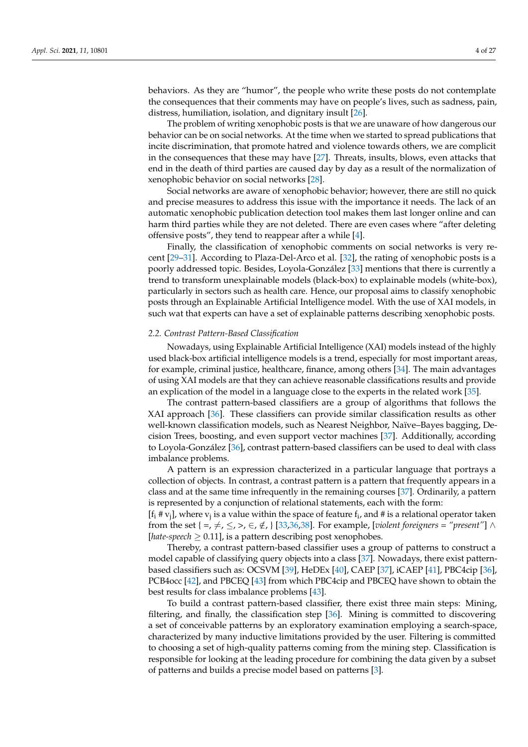behaviors. As they are "humor", the people who write these posts do not contemplate the consequences that their comments may have on people's lives, such as sadness, pain, distress, humiliation, isolation, and dignitary insult [\[26\]](#page-23-25).

The problem of writing xenophobic posts is that we are unaware of how dangerous our behavior can be on social networks. At the time when we started to spread publications that incite discrimination, that promote hatred and violence towards others, we are complicit in the consequences that these may have [\[27\]](#page-23-26). Threats, insults, blows, even attacks that end in the death of third parties are caused day by day as a result of the normalization of xenophobic behavior on social networks [\[28\]](#page-23-27).

Social networks are aware of xenophobic behavior; however, there are still no quick and precise measures to address this issue with the importance it needs. The lack of an automatic xenophobic publication detection tool makes them last longer online and can harm third parties while they are not deleted. There are even cases where "after deleting offensive posts", they tend to reappear after a while [\[4\]](#page-23-3).

Finally, the classification of xenophobic comments on social networks is very recent [\[29–](#page-24-0)[31\]](#page-24-1). According to Plaza-Del-Arco et al. [\[32\]](#page-24-2), the rating of xenophobic posts is a poorly addressed topic. Besides, Loyola-González [\[33\]](#page-24-3) mentions that there is currently a trend to transform unexplainable models (black-box) to explainable models (white-box), particularly in sectors such as health care. Hence, our proposal aims to classify xenophobic posts through an Explainable Artificial Intelligence model. With the use of XAI models, in such wat that experts can have a set of explainable patterns describing xenophobic posts.

#### *2.2. Contrast Pattern-Based Classification*

Nowadays, using Explainable Artificial Intelligence (XAI) models instead of the highly used black-box artificial intelligence models is a trend, especially for most important areas, for example, criminal justice, healthcare, finance, among others [\[34\]](#page-24-4). The main advantages of using XAI models are that they can achieve reasonable classifications results and provide an explication of the model in a language close to the experts in the related work [\[35\]](#page-24-5).

The contrast pattern-based classifiers are a group of algorithms that follows the XAI approach [\[36\]](#page-24-6). These classifiers can provide similar classification results as other well-known classification models, such as Nearest Neighbor, Naïve–Bayes bagging, Decision Trees, boosting, and even support vector machines [\[37\]](#page-24-7). Additionally, according to Loyola-González [\[36\]](#page-24-6), contrast pattern-based classifiers can be used to deal with class imbalance problems.

A pattern is an expression characterized in a particular language that portrays a collection of objects. In contrast, a contrast pattern is a pattern that frequently appears in a class and at the same time infrequently in the remaining courses [\[37\]](#page-24-7). Ordinarily, a pattern is represented by a conjunction of relational statements, each with the form:

[f<sub>i</sub> # v<sub>j</sub>], where v<sub>j</sub> is a value within the space of feature f<sub>i</sub>, and # is a relational operator taken from the set { =,  $\neq$ ,  $\leq$ ,  $>$ ,  $\in$ ,  $\notin$ , } [\[33,](#page-24-3)[36,](#page-24-6)[38\]](#page-24-8). For example, [*violent foreigners = "present"*]  $\wedge$ [*hate-speech*  $\geq$  0.11], is a pattern describing post xenophobes.

Thereby, a contrast pattern-based classifier uses a group of patterns to construct a model capable of classifying query objects into a class [\[37\]](#page-24-7). Nowadays, there exist patternbased classifiers such as: OCSVM [\[39\]](#page-24-9), HeDEx [\[40\]](#page-24-10), CAEP [\[37\]](#page-24-7), iCAEP [\[41\]](#page-24-11), PBC4cip [\[36\]](#page-24-6), PCB4occ [\[42\]](#page-24-12), and PBCEQ [\[43\]](#page-24-13) from which PBC4cip and PBCEQ have shown to obtain the best results for class imbalance problems [\[43\]](#page-24-13).

To build a contrast pattern-based classifier, there exist three main steps: Mining, filtering, and finally, the classification step [\[36\]](#page-24-6). Mining is committed to discovering a set of conceivable patterns by an exploratory examination employing a search-space, characterized by many inductive limitations provided by the user. Filtering is committed to choosing a set of high-quality patterns coming from the mining step. Classification is responsible for looking at the leading procedure for combining the data given by a subset of patterns and builds a precise model based on patterns [\[3\]](#page-23-2).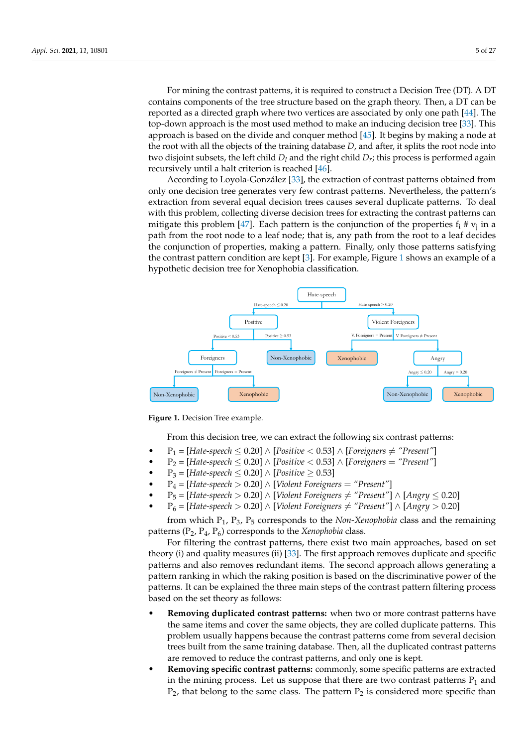For mining the contrast patterns, it is required to construct a Decision Tree (DT). A DT contains components of the tree structure based on the graph theory. Then, a DT can be reported as a directed graph where two vertices are associated by only one path [\[44\]](#page-24-14). The top-down approach is the most used method to make an inducing decision tree [\[33\]](#page-24-3). This approach is based on the divide and conquer method [\[45\]](#page-24-15). It begins by making a node at the root with all the objects of the training database *D*, and after, it splits the root node into two disjoint subsets, the left child  $D_l$  and the right child  $D_r$ ; this process is performed again recursively until a halt criterion is reached [\[46\]](#page-24-16).

According to Loyola-González [\[33\]](#page-24-3), the extraction of contrast patterns obtained from only one decision tree generates very few contrast patterns. Nevertheless, the pattern's extraction from several equal decision trees causes several duplicate patterns. To deal with this problem, collecting diverse decision trees for extracting the contrast patterns can mitigate this problem [\[47\]](#page-24-17). Each pattern is the conjunction of the properties  $f_i \# v_j$  in a path from the root node to a leaf node; that is, any path from the root to a leaf decides the conjunction of properties, making a pattern. Finally, only those patterns satisfying the contrast pattern condition are kept [\[3\]](#page-23-2). For example, Figure [1](#page-4-0) shows an example of a hypothetic decision tree for Xenophobia classification.

<span id="page-4-0"></span>

**Figure 1.** Decision Tree example.

From this decision tree, we can extract the following six contrast patterns:

- $P_1$  = [*Hate-speech* ≤ 0.20] ∧ [*Positive* < 0.53] ∧ [*Foreigners*  $\neq$  "*Present"*]
- P<sup>2</sup> = [*Hate-speech* ≤ 0.20] ∧ [*Positive* < 0.53] ∧ [*Foreigners* = *"Present"*]
- P<sup>3</sup> = [*Hate-speech* ≤ 0.20] ∧ [*Positive* ≥ 0.53]
- P<sup>4</sup> = [*Hate-speech* > 0.20] ∧ [*Violent Foreigners* = *"Present"*]
- $P_5$  = [*Hate-speech* > 0.20] ∧ [*Violent Foreigners*  $\neq$  "*Present"*] ∧ [*Angry* ≤ 0.20]
- $P_6$  = [*Hate-speech* > 0.20] ∧ [*Violent Foreigners*  $\neq$  "*Present"*] ∧ [*Angry* > 0.20]

from which P1, P3, P<sup>5</sup> corresponds to the *Non-Xenophobia* class and the remaining patterns (P2, P4, P6) corresponds to the *Xenophobia* class.

For filtering the contrast patterns, there exist two main approaches, based on set theory (i) and quality measures (ii) [\[33\]](#page-24-3). The first approach removes duplicate and specific patterns and also removes redundant items. The second approach allows generating a pattern ranking in which the raking position is based on the discriminative power of the patterns. It can be explained the three main steps of the contrast pattern filtering process based on the set theory as follows:

- **Removing duplicated contrast patterns:** when two or more contrast patterns have the same items and cover the same objects, they are colled duplicate patterns. This problem usually happens because the contrast patterns come from several decision trees built from the same training database. Then, all the duplicated contrast patterns are removed to reduce the contrast patterns, and only one is kept.
- **Removing specific contrast patterns:** commonly, some specific patterns are extracted in the mining process. Let us suppose that there are two contrast patterns  $P_1$  and  $P_2$ , that belong to the same class. The pattern  $P_2$  is considered more specific than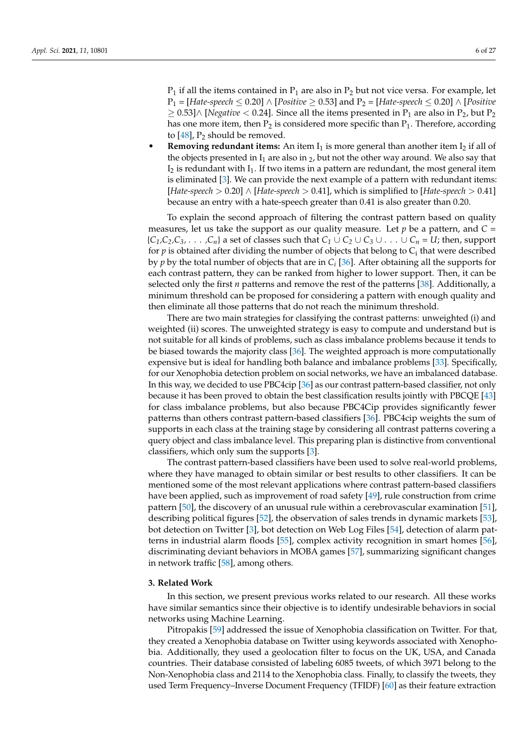$P_1$  if all the items contained in  $P_1$  are also in  $P_2$  but not vice versa. For example, let P<sup>1</sup> = [*Hate-speech* ≤ 0.20] ∧ [*Positive* ≥ 0.53] and P<sup>2</sup> = [*Hate-speech* ≤ 0.20] ∧ [*Positive*  $≥$  0.53]∧ [*Negative* < 0.24]. Since all the items presented in P<sub>1</sub> are also in P<sub>2</sub>, but P<sub>2</sub> has one more item, then  $P_2$  is considered more specific than  $P_1$ . Therefore, according to  $[48]$ ,  $P_2$  should be removed.

**Removing redundant items:** An item  $I_1$  is more general than another item  $I_2$  if all of the objects presented in  $I_1$  are also in  $_2$ , but not the other way around. We also say that  $I_2$  is redundant with  $I_1$ . If two items in a pattern are redundant, the most general item is eliminated [\[3\]](#page-23-2). We can provide the next example of a pattern with redundant items: [*Hate-speech* > 0.20] ∧ [*Hate-speech* > 0.41], which is simplified to [*Hate-speech* > 0.41] because an entry with a hate-speech greater than 0.41 is also greater than 0.20.

To explain the second approach of filtering the contrast pattern based on quality measures, let us take the support as our quality measure. Let  $p$  be a pattern, and  $C =$  ${C_1, C_2, C_3, \ldots, C_n}$  a set of classes such that  $C_1 \cup C_2 \cup C_3 \cup \ldots \cup C_n = U$ ; then, support for  $p$  is obtained after dividing the number of objects that belong to  $\mathsf{C}_\mathsf{i}$  that were described by *p* by the total number of objects that are in *C<sup>i</sup>* [\[36\]](#page-24-6). After obtaining all the supports for each contrast pattern, they can be ranked from higher to lower support. Then, it can be selected only the first *n* patterns and remove the rest of the patterns [\[38\]](#page-24-8). Additionally, a minimum threshold can be proposed for considering a pattern with enough quality and then eliminate all those patterns that do not reach the minimum threshold.

There are two main strategies for classifying the contrast patterns: unweighted (i) and weighted (ii) scores. The unweighted strategy is easy to compute and understand but is not suitable for all kinds of problems, such as class imbalance problems because it tends to be biased towards the majority class [\[36\]](#page-24-6). The weighted approach is more computationally expensive but is ideal for handling both balance and imbalance problems [\[33\]](#page-24-3). Specifically, for our Xenophobia detection problem on social networks, we have an imbalanced database. In this way, we decided to use PBC4cip [\[36\]](#page-24-6) as our contrast pattern-based classifier, not only because it has been proved to obtain the best classification results jointly with PBCQE [\[43\]](#page-24-13) for class imbalance problems, but also because PBC4Cip provides significantly fewer patterns than others contrast pattern-based classifiers [\[36\]](#page-24-6). PBC4cip weights the sum of supports in each class at the training stage by considering all contrast patterns covering a query object and class imbalance level. This preparing plan is distinctive from conventional classifiers, which only sum the supports [\[3\]](#page-23-2).

The contrast pattern-based classifiers have been used to solve real-world problems, where they have managed to obtain similar or best results to other classifiers. It can be mentioned some of the most relevant applications where contrast pattern-based classifiers have been applied, such as improvement of road safety [\[49\]](#page-24-19), rule construction from crime pattern [\[50\]](#page-24-20), the discovery of an unusual rule within a cerebrovascular examination [\[51\]](#page-24-21), describing political figures [\[52\]](#page-24-22), the observation of sales trends in dynamic markets [\[53\]](#page-24-23), bot detection on Twitter [\[3\]](#page-23-2), bot detection on Web Log Files [\[54\]](#page-24-24), detection of alarm patterns in industrial alarm floods [\[55\]](#page-24-25), complex activity recognition in smart homes [\[56\]](#page-25-0), discriminating deviant behaviors in MOBA games [\[57\]](#page-25-1), summarizing significant changes in network traffic [\[58\]](#page-25-2), among others.

#### <span id="page-5-0"></span>**3. Related Work**

In this section, we present previous works related to our research. All these works have similar semantics since their objective is to identify undesirable behaviors in social networks using Machine Learning.

Pitropakis [\[59\]](#page-25-3) addressed the issue of Xenophobia classification on Twitter. For that, they created a Xenophobia database on Twitter using keywords associated with Xenophobia. Additionally, they used a geolocation filter to focus on the UK, USA, and Canada countries. Their database consisted of labeling 6085 tweets, of which 3971 belong to the Non-Xenophobia class and 2114 to the Xenophobia class. Finally, to classify the tweets, they used Term Frequency–Inverse Document Frequency (TFIDF) [\[60\]](#page-25-4) as their feature extraction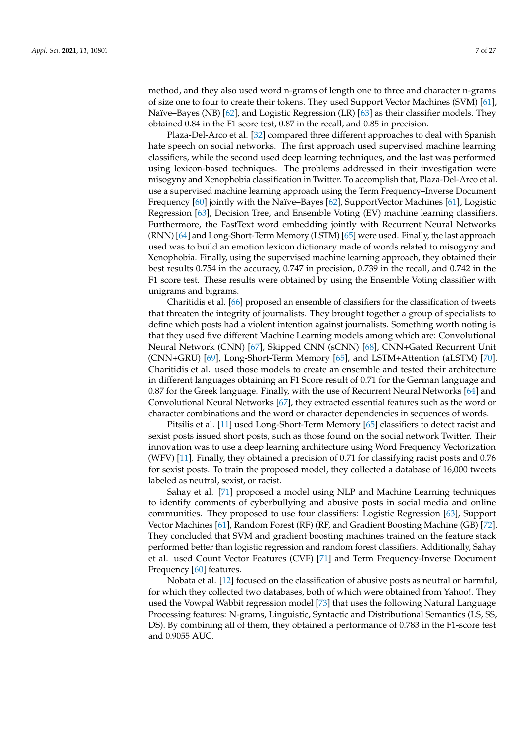method, and they also used word n-grams of length one to three and character n-grams of size one to four to create their tokens. They used Support Vector Machines (SVM) [\[61\]](#page-25-5), Naïve–Bayes (NB) [\[62\]](#page-25-6), and Logistic Regression (LR) [\[63\]](#page-25-7) as their classifier models. They obtained 0.84 in the F1 score test, 0.87 in the recall, and 0.85 in precision.

Plaza-Del-Arco et al. [\[32\]](#page-24-2) compared three different approaches to deal with Spanish hate speech on social networks. The first approach used supervised machine learning classifiers, while the second used deep learning techniques, and the last was performed using lexicon-based techniques. The problems addressed in their investigation were misogyny and Xenophobia classification in Twitter. To accomplish that, Plaza-Del-Arco et al. use a supervised machine learning approach using the Term Frequency–Inverse Document Frequency [\[60\]](#page-25-4) jointly with the Naïve–Bayes [\[62\]](#page-25-6), SupportVector Machines [\[61\]](#page-25-5), Logistic Regression [\[63\]](#page-25-7), Decision Tree, and Ensemble Voting (EV) machine learning classifiers. Furthermore, the FastText word embedding jointly with Recurrent Neural Networks (RNN) [\[64\]](#page-25-8) and Long-Short-Term Memory (LSTM) [\[65\]](#page-25-9) were used. Finally, the last approach used was to build an emotion lexicon dictionary made of words related to misogyny and Xenophobia. Finally, using the supervised machine learning approach, they obtained their best results 0.754 in the accuracy, 0.747 in precision, 0.739 in the recall, and 0.742 in the F1 score test. These results were obtained by using the Ensemble Voting classifier with unigrams and bigrams.

Charitidis et al. [\[66\]](#page-25-10) proposed an ensemble of classifiers for the classification of tweets that threaten the integrity of journalists. They brought together a group of specialists to define which posts had a violent intention against journalists. Something worth noting is that they used five different Machine Learning models among which are: Convolutional Neural Network (CNN) [\[67\]](#page-25-11), Skipped CNN (sCNN) [\[68\]](#page-25-12), CNN+Gated Recurrent Unit (CNN+GRU) [\[69\]](#page-25-13), Long-Short-Term Memory [\[65\]](#page-25-9), and LSTM+Attention (aLSTM) [\[70\]](#page-25-14). Charitidis et al. used those models to create an ensemble and tested their architecture in different languages obtaining an F1 Score result of 0.71 for the German language and 0.87 for the Greek language. Finally, with the use of Recurrent Neural Networks [\[64\]](#page-25-8) and Convolutional Neural Networks [\[67\]](#page-25-11), they extracted essential features such as the word or character combinations and the word or character dependencies in sequences of words.

Pitsilis et al. [\[11\]](#page-23-10) used Long-Short-Term Memory [\[65\]](#page-25-9) classifiers to detect racist and sexist posts issued short posts, such as those found on the social network Twitter. Their innovation was to use a deep learning architecture using Word Frequency Vectorization (WFV) [\[11\]](#page-23-10). Finally, they obtained a precision of 0.71 for classifying racist posts and 0.76 for sexist posts. To train the proposed model, they collected a database of 16,000 tweets labeled as neutral, sexist, or racist.

Sahay et al. [\[71\]](#page-25-15) proposed a model using NLP and Machine Learning techniques to identify comments of cyberbullying and abusive posts in social media and online communities. They proposed to use four classifiers: Logistic Regression [\[63\]](#page-25-7), Support Vector Machines [\[61\]](#page-25-5), Random Forest (RF) (RF, and Gradient Boosting Machine (GB) [\[72\]](#page-25-16). They concluded that SVM and gradient boosting machines trained on the feature stack performed better than logistic regression and random forest classifiers. Additionally, Sahay et al. used Count Vector Features (CVF) [\[71\]](#page-25-15) and Term Frequency-Inverse Document Frequency [\[60\]](#page-25-4) features.

Nobata et al. [\[12\]](#page-23-11) focused on the classification of abusive posts as neutral or harmful, for which they collected two databases, both of which were obtained from Yahoo!. They used the Vowpal Wabbit regression model [\[73\]](#page-25-17) that uses the following Natural Language Processing features: N-grams, Linguistic, Syntactic and Distributional Semantics (LS, SS, DS). By combining all of them, they obtained a performance of 0.783 in the F1-score test and 0.9055 AUC.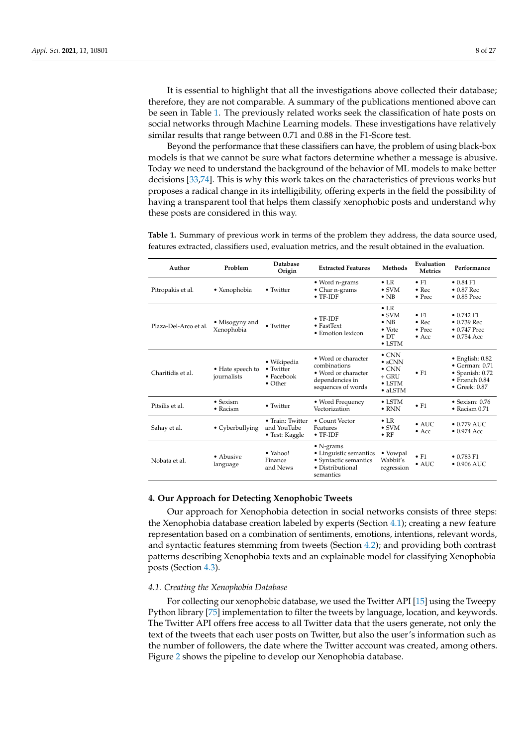It is essential to highlight that all the investigations above collected their database; therefore, they are not comparable. A summary of the publications mentioned above can be seen in Table [1.](#page-7-1) The previously related works seek the classification of hate posts on social networks through Machine Learning models. These investigations have relatively similar results that range between 0.71 and 0.88 in the F1-Score test.

Beyond the performance that these classifiers can have, the problem of using black-box models is that we cannot be sure what factors determine whether a message is abusive. Today we need to understand the background of the behavior of ML models to make better decisions [\[33,](#page-24-3)[74\]](#page-25-18). This is why this work takes on the characteristics of previous works but proposes a radical change in its intelligibility, offering experts in the field the possibility of having a transparent tool that helps them classify xenophobic posts and understand why these posts are considered in this way.

<span id="page-7-1"></span>**Table 1.** Summary of previous work in terms of the problem they address, the data source used, features extracted, classifiers used, evaluation metrics, and the result obtained in the evaluation.

| Author                | Problem                              | Database<br>Origin                                        | <b>Extracted Features</b>                                                                             | Methods                                                                                           | Evaluation<br><b>Metrics</b>                                     | Performance                                                                                                                               |
|-----------------------|--------------------------------------|-----------------------------------------------------------|-------------------------------------------------------------------------------------------------------|---------------------------------------------------------------------------------------------------|------------------------------------------------------------------|-------------------------------------------------------------------------------------------------------------------------------------------|
| Pitropakis et al.     | • Xenophobia                         | • Twitter                                                 | • Word n-grams<br>• Char n-grams<br>$\bullet$ TF-IDF                                                  | $\bullet$ LR<br>$\bullet$ SVM<br>$\bullet$ NB                                                     | $\bullet$ F1<br>$\bullet$ Rec<br>$\bullet$ Prec                  | $\bullet$ 0.84 F1<br>$\bullet$ 0.87 Rec<br>$\bullet$ 0.85 Prec                                                                            |
| Plaza-Del-Arco et al. | • Misogyny and<br>Xenophobia         | • Twitter                                                 | $\bullet$ TF-IDF<br>$\bullet$ FastText<br>• Emotion lexicon                                           | $\bullet$ LR<br>$\bullet$ SVM<br>$\bullet$ NB<br>$\bullet$ Vote<br>$\bullet$ DT<br>$\bullet$ LSTM | $\bullet$ F1<br>$\bullet$ Rec<br>$\bullet$ Prec<br>$\bullet$ Acc | $\bullet$ 0.742 F1<br>$\bullet$ 0.739 Rec<br>$\bullet$ 0.747 Prec<br>$\bullet$ 0.754 Acc                                                  |
| Charitidis et al.     | • Hate speech to<br>journalists      | • Wikipedia<br>• Twitter<br>• Facebook<br>$\bullet$ Other | • Word or character<br>combinations<br>• Word or character<br>dependencies in<br>sequences of words   | $\bullet$ CNN<br>$\cdot$ sCNN<br>$\bullet$ CNN<br>$+$ GRU<br>$\bullet$ LSTM<br>$\bullet$ aLSTM    | $\bullet$ F1                                                     | $\bullet$ English: $0.82$<br>$\bullet$ German: $0.71$<br>$\bullet$ Spanish: $0.72$<br>$\bullet$ Fr:ench $0.84$<br>$\bullet$ Greek: $0.87$ |
| Pitsilis et al.       | $\bullet$ Sexism<br>$\bullet$ Racism | • Twitter                                                 | • Word Frequency<br>Vectorization                                                                     | $\bullet$ LSTM<br>$\bullet$ RNN                                                                   | $\bullet$ F1                                                     | $\bullet$ Sexism: 0.76<br>$\bullet$ Racism 0.71                                                                                           |
| Sahay et al.          | • Cyberbullying                      | • Train: Twitter<br>and YouTube<br>• Test: Kaggle         | • Count Vector<br>Features<br>$\bullet$ TF-IDF                                                        | $\bullet$ LR<br>$\bullet$ SVM<br>$\bullet$ RF                                                     | $\bullet$ AUC<br>$\bullet$ Acc                                   | $\bullet$ 0.779 AUC.<br>$\bullet$ 0.974 Acc                                                                                               |
| Nobata et al.         | $\bullet$ Abusive<br>language        | $\bullet$ Yahoo!<br>Finance<br>and News                   | $\bullet$ N-grams<br>• Linguistic semantics<br>• Syntactic semantics<br>• Distributional<br>semantics | • Vowpal<br>Wabbit's<br>regression                                                                | $\bullet$ F1<br>$\bullet$ AUC                                    | $\bullet$ 0.783 F1<br>$\bullet$ 0.906 AUC                                                                                                 |

## <span id="page-7-0"></span>**4. Our Approach for Detecting Xenophobic Tweets**

Our approach for Xenophobia detection in social networks consists of three steps: the Xenophobia database creation labeled by experts (Section [4.1\)](#page-7-2); creating a new feature representation based on a combination of sentiments, emotions, intentions, relevant words, and syntactic features stemming from tweets (Section [4.2\)](#page-9-0); and providing both contrast patterns describing Xenophobia texts and an explainable model for classifying Xenophobia posts (Section [4.3\)](#page-11-0).

#### <span id="page-7-2"></span>*4.1. Creating the Xenophobia Database*

For collecting our xenophobic database, we used the Twitter API [\[15\]](#page-23-14) using the Tweepy Python library [\[75\]](#page-25-19) implementation to filter the tweets by language, location, and keywords. The Twitter API offers free access to all Twitter data that the users generate, not only the text of the tweets that each user posts on Twitter, but also the user's information such as the number of followers, the date where the Twitter account was created, among others. Figure [2](#page-8-0) shows the pipeline to develop our Xenophobia database.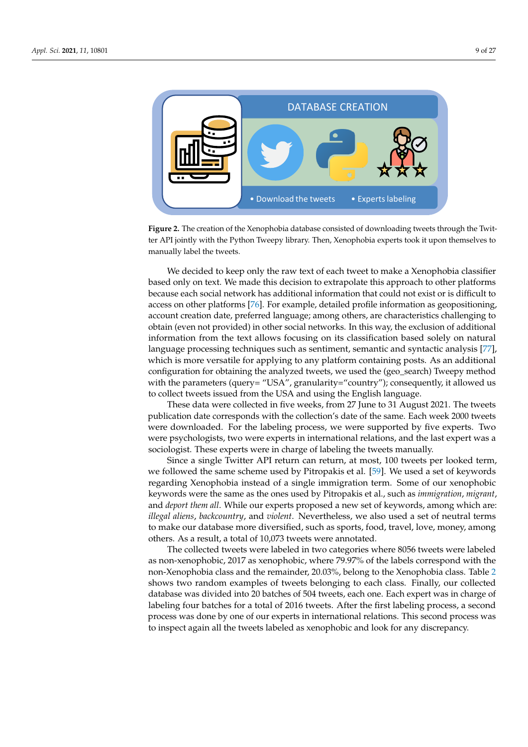<span id="page-8-0"></span>

ter API jointly with the Python Tweepy library. Then, Xenophobia experts took it upon themselves to **Figure 2.** The creation of the Xenophobia database consisted of downloading tweets through the Twitmanually label the tweets.

obtain (even not provided) in other social networks. In this way, the exclusion of additional information from the text allows focusing on its classification based solely on natural configuration for obtaining the analyzed tweets, we used the (geo\_search) Tweepy method We decided to keep only the raw text of each tweet to make a Xenophobia classifier based only on text. We made this decision to extrapolate this approach to other platforms because each social network has additional information that could not exist or is difficult to access on other platforms [\[76\]](#page-25-20). For example, detailed profile information as geopositioning, account creation date, preferred language; among others, are characteristics challenging to language processing techniques such as sentiment, semantic and syntactic analysis [\[77\]](#page-25-21), which is more versatile for applying to any platform containing posts. As an additional with the parameters (query= "USA", granularity="country"); consequently, it allowed us to collect tweets issued from the USA and using the English language.

These data were collected in five weeks, from 27 June to 31 August 2021. The tweets publication date corresponds with the collection's date of the same. Each week 2000 tweets were downloaded. For the labeling process, we were supported by five experts. Two were psychologists, two were experts in international relations, and the last expert was a sociologist. These experts were in charge of labeling the tweets manually.

Since a single Twitter API return can return, at most, 100 tweets per looked term, we followed the same scheme used by Pitropakis et al. [\[59\]](#page-25-3). We used a set of keywords regarding Xenophobia instead of a single immigration term. Some of our xenophobic keywords were the same as the ones used by Pitropakis et al., such as *immigration*, *migrant*, and *deport them all*. While our experts proposed a new set of keywords, among which are: *illegal aliens*, *backcountry*, and *violent*. Nevertheless, we also used a set of neutral terms to make our database more diversified, such as sports, food, travel, love, money, among others. As a result, a total of 10,073 tweets were annotated.

The collected tweets were labeled in two categories where 8056 tweets were labeled as non-xenophobic, 2017 as xenophobic, where 79.97% of the labels correspond with the non-Xenophobia class and the remainder, 20.03%, belong to the Xenophobia class. Table [2](#page-9-1) shows two random examples of tweets belonging to each class. Finally, our collected database was divided into 20 batches of 504 tweets, each one. Each expert was in charge of labeling four batches for a total of 2016 tweets. After the first labeling process, a second process was done by one of our experts in international relations. This second process was to inspect again all the tweets labeled as xenophobic and look for any discrepancy.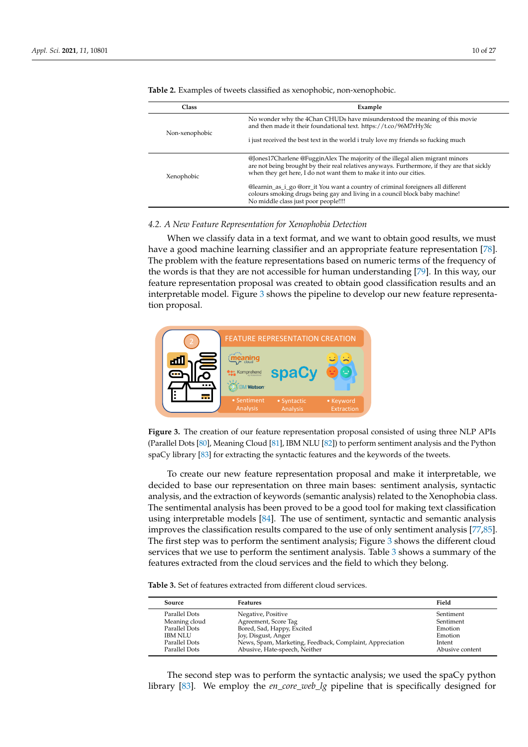| Class          | Example                                                                                                                                                                                                                                            |
|----------------|----------------------------------------------------------------------------------------------------------------------------------------------------------------------------------------------------------------------------------------------------|
| Non-xenophobic | No wonder why the 4Chan CHUDs have misunderstood the meaning of this movie<br>and then made it their foundational text. https://t.co/96M7rHy3fc                                                                                                    |
|                | i just received the best text in the world i truly love my friends so fucking much                                                                                                                                                                 |
| Xenophobic     | @Jones17Charlene @FugginAlex The majority of the illegal alien migrant minors<br>are not being brought by their real relatives anyways. Furthermore, if they are that sickly<br>when they get here. I do not want them to make it into our cities. |
|                | @learnin_as_i_go @orr_it You want a country of criminal foreigners all different<br>colours smoking drugs being gay and living in a council block baby machine!<br>No middle class just poor people!!!!                                            |

<span id="page-9-1"></span>**Table 2.** Examples of tweets classified as xenophobic, non-xenophobic.

## <span id="page-9-0"></span>*4.2. A New Feature Representation for Xenophobia Detection*

When we classify data in a text format, and we want to obtain good results, we must have a good machine learning classifier and an appropriate feature representation [\[78\]](#page-25-22). 1 The problem with the feature representations based on numeric terms of the frequency of the words is that they are not accessible for human understanding [\[79\]](#page-25-23). In this way, our feature representation proposal was created to obtain good classification results and an interpretable model. Figure [3](#page-9-2) shows the pipeline to develop our new feature representation proposal.

<span id="page-9-2"></span>

Figure 3. The creation of our feature representation proposal consisted of using three NCI AT is<br>(Parallel Dots [\[80\]](#page-25-24), Meaning Cloud [\[81\]](#page-25-25), IBM NLU [\[82\]](#page-25-26)) to perform sentiment analysis and the Python **Figure 3.** The creation of our feature representation proposal consisted of using three NLP APIs spaCy library [\[83\]](#page-25-27) for extracting the syntactic features and the keywords of the tweets.

Filtering extensive exception of the sentimental analysis has been proved to be a good tool for making text classification To create our new feature representation proposal and make it interpretable, we decided to base our representation on three main bases: sentiment analysis, syntactic analysis, and the extraction of keywords (semantic analysis) related to the Xenophobia class. using interpretable models [\[84\]](#page-25-28). The use of sentiment, syntactic and semantic analysis improves the classification results compared to the use of only sentiment analysis [\[77,](#page-25-21)[85\]](#page-26-0). The first step was to perform the sentiment analysis; Figure [3](#page-9-2) shows the different cloud services that we use to perform the sentiment analysis. Table [3](#page-9-3) shows a summary of the features extracted from the cloud services and the field to which they belong.

<span id="page-9-3"></span>**Table 3.** Set of features extracted from different cloud services.

| <b>Source</b>  | <b>Features</b>                                          | Field           |
|----------------|----------------------------------------------------------|-----------------|
| Parallel Dots  | Negative, Positive                                       | Sentiment       |
| Meaning cloud  | Agreement, Score Tag                                     | Sentiment       |
| Parallel Dots  | Bored, Sad, Happy, Excited                               | Emotion         |
| <b>IBM NLU</b> | Joy, Disgust, Anger                                      | Emotion         |
| Parallel Dots  | News, Spam, Marketing, Feedback, Complaint, Appreciation | Intent          |
| Parallel Dots  | Abusive, Hate-speech, Neither                            | Abusive content |

The second step was to perform the syntactic analysis; we used the spaCy python library [\[83\]](#page-25-27). We employ the *en\_core\_web\_lg* pipeline that is specifically designed for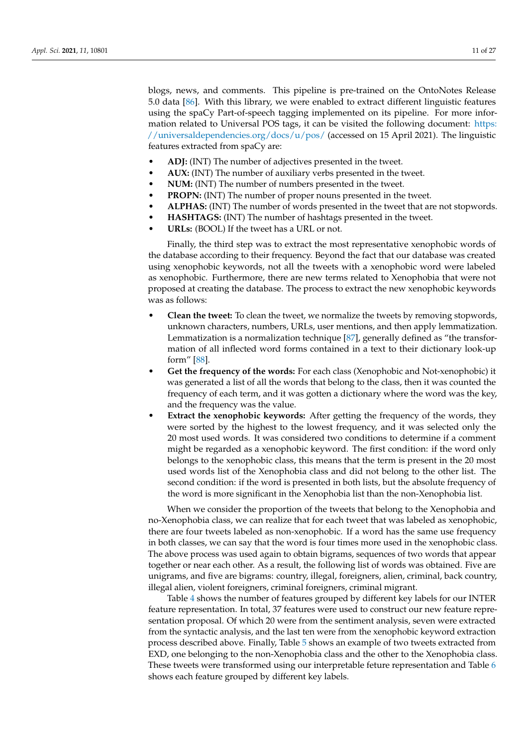blogs, news, and comments. This pipeline is pre-trained on the OntoNotes Release 5.0 data [\[86\]](#page-26-1). With this library, we were enabled to extract different linguistic features using the spaCy Part-of-speech tagging implemented on its pipeline. For more information related to Universal POS tags, it can be visited the following document: [https:](https://universaldependencies.org/docs/u/pos/) [//universaldependencies.org/docs/u/pos/](https://universaldependencies.org/docs/u/pos/) (accessed on 15 April 2021). The linguistic features extracted from spaCy are:

- **ADJ:** (INT) The number of adjectives presented in the tweet.
- **AUX:** (INT) The number of auxiliary verbs presented in the tweet.
- **NUM:** (INT) The number of numbers presented in the tweet.
- **PROPN:** (INT) The number of proper nouns presented in the tweet.
- **ALPHAS:** (INT) The number of words presented in the tweet that are not stopwords.
- **HASHTAGS:** (INT) The number of hashtags presented in the tweet.
- **URLs:** (BOOL) If the tweet has a URL or not.

Finally, the third step was to extract the most representative xenophobic words of the database according to their frequency. Beyond the fact that our database was created using xenophobic keywords, not all the tweets with a xenophobic word were labeled as xenophobic. Furthermore, there are new terms related to Xenophobia that were not proposed at creating the database. The process to extract the new xenophobic keywords was as follows:

- **Clean the tweet:** To clean the tweet, we normalize the tweets by removing stopwords, unknown characters, numbers, URLs, user mentions, and then apply lemmatization. Lemmatization is a normalization technique [\[87\]](#page-26-2), generally defined as "the transformation of all inflected word forms contained in a text to their dictionary look-up form" [\[88\]](#page-26-3).
- **Get the frequency of the words:** For each class (Xenophobic and Not-xenophobic) it was generated a list of all the words that belong to the class, then it was counted the frequency of each term, and it was gotten a dictionary where the word was the key, and the frequency was the value.
- **Extract the xenophobic keywords:** After getting the frequency of the words, they were sorted by the highest to the lowest frequency, and it was selected only the 20 most used words. It was considered two conditions to determine if a comment might be regarded as a xenophobic keyword. The first condition: if the word only belongs to the xenophobic class, this means that the term is present in the 20 most used words list of the Xenophobia class and did not belong to the other list. The second condition: if the word is presented in both lists, but the absolute frequency of the word is more significant in the Xenophobia list than the non-Xenophobia list.

When we consider the proportion of the tweets that belong to the Xenophobia and no-Xenophobia class, we can realize that for each tweet that was labeled as xenophobic, there are four tweets labeled as non-xenophobic. If a word has the same use frequency in both classes, we can say that the word is four times more used in the xenophobic class. The above process was used again to obtain bigrams, sequences of two words that appear together or near each other. As a result, the following list of words was obtained. Five are unigrams, and five are bigrams: country, illegal, foreigners, alien, criminal, back country, illegal alien, violent foreigners, criminal foreigners, criminal migrant.

Table [4](#page-11-1) shows the number of features grouped by different key labels for our INTER feature representation. In total, 37 features were used to construct our new feature representation proposal. Of which 20 were from the sentiment analysis, seven were extracted from the syntactic analysis, and the last ten were from the xenophobic keyword extraction process described above. Finally, Table [5](#page-11-2) shows an example of two tweets extracted from EXD, one belonging to the non-Xenophobia class and the other to the Xenophobia class. These tweets were transformed using our interpretable feture representation and Table [6](#page-11-3) shows each feature grouped by different key labels.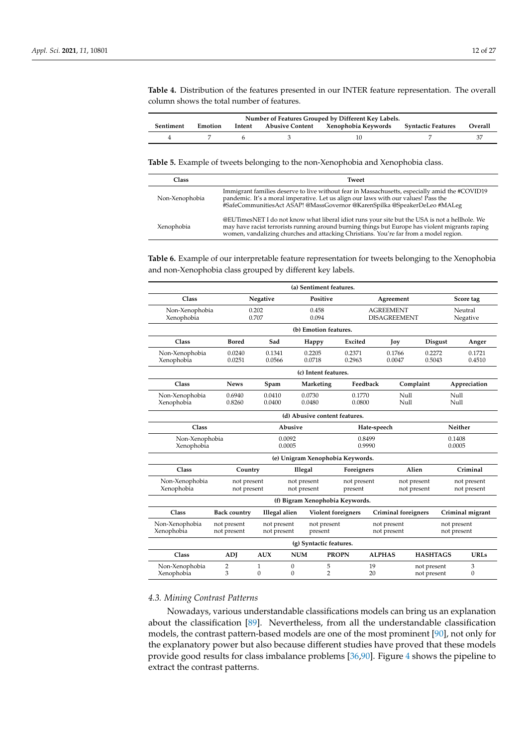<span id="page-11-1"></span>**Table 4.** Distribution of the features presented in our INTER feature representation. The overall column shows the total number of features.

| Number of Features Grouped by Different Key Labels. |         |  |  |                                                               |  |         |  |  |  |
|-----------------------------------------------------|---------|--|--|---------------------------------------------------------------|--|---------|--|--|--|
| Sentiment                                           | Emotion |  |  | Intent Abusive Content Xenophobia Keywords Syntactic Features |  | Overall |  |  |  |
|                                                     |         |  |  |                                                               |  |         |  |  |  |

<span id="page-11-2"></span>**Table 5.** Example of tweets belonging to the non-Xenophobia and Xenophobia class.

| Class          | <b>Tweet</b>                                                                                                                                                                                                                                                                              |
|----------------|-------------------------------------------------------------------------------------------------------------------------------------------------------------------------------------------------------------------------------------------------------------------------------------------|
| Non-Xenophobia | Immigrant families deserve to live without fear in Massachusetts, especially amid the #COVID19<br>pandemic. It's a moral imperative. Let us align our laws with our values! Pass the<br>#SafeCommunitiesAct ASAP! @MassGovernor @KarenSpilka @SpeakerDeLeo #MALeg                         |
| Xenophobia     | @EUTimesNET I do not know what liberal idiot runs your site but the USA is not a hellhole. We<br>may have racist terrorists running around burning things but Europe has violent migrants raping<br>women, vandalizing churches and attacking Christians. You're far from a model region. |

<span id="page-11-3"></span>**Table 6.** Example of our interpretable feature representation for tweets belonging to the Xenophobia and non-Xenophobia class grouped by different key labels.

|                               |                            |                            |                            | (a) Sentiment features.          |                        |                                         |                            |                            |                            |                   |
|-------------------------------|----------------------------|----------------------------|----------------------------|----------------------------------|------------------------|-----------------------------------------|----------------------------|----------------------------|----------------------------|-------------------|
| Class                         |                            | Negative                   |                            | Positive                         |                        | Agreement                               |                            |                            | Score tag                  |                   |
| Non-Xenophobia<br>Xenophobia  |                            | 0.202<br>0.707             |                            | 0.458<br>0.094                   |                        | <b>AGREEMENT</b><br><b>DISAGREEMENT</b> |                            | Neutral<br>Negative        |                            |                   |
|                               |                            |                            |                            | (b) Emotion features.            |                        |                                         |                            |                            |                            |                   |
| Class                         | <b>Bored</b>               | Sad                        |                            | Happy                            | Excited                | Joy                                     |                            | <b>Disgust</b>             |                            | Anger             |
| Non-Xenophobia<br>Xenophobia  | 0.0240<br>0.0251           | 0.1341<br>0.0566           |                            | 0.2205<br>0.0718                 | 0.2371<br>0.2963       | 0.1766<br>0.0047                        |                            | 0.2272<br>0.5043           |                            | 0.1721<br>0.4510  |
| (c) Intent features.          |                            |                            |                            |                                  |                        |                                         |                            |                            |                            |                   |
| Class                         | <b>News</b>                | Spam                       |                            | Marketing                        | Feedback               |                                         | Complaint                  |                            | Appreciation               |                   |
| Non-Xenophobia<br>Xenophobia  | 0.6940<br>0.8260           | 0.0410<br>0.0400           |                            | 0.0730<br>0.0480                 | 0.1770<br>0.0800       |                                         | Null<br>Null               |                            | Null<br>Null               |                   |
| (d) Abusive content features. |                            |                            |                            |                                  |                        |                                         |                            |                            |                            |                   |
| Class<br>Abusive              |                            |                            |                            |                                  |                        | Hate-speech                             |                            |                            | Neither                    |                   |
| Non-Xenophobia<br>Xenophobia  |                            |                            | 0.0092<br>0.0005           |                                  |                        | 0.8499<br>0.9990                        |                            |                            | 0.1408<br>0.0005           |                   |
|                               |                            |                            |                            | (e) Unigram Xenophobia Keywords. |                        |                                         |                            |                            |                            |                   |
| Class                         | Country                    |                            | Illegal                    |                                  | Foreigners             |                                         | Alien                      | Criminal                   |                            |                   |
| Non-Xenophobia<br>Xenophobia  | not present<br>not present |                            | not present<br>not present |                                  | not present<br>present |                                         | not present<br>not present |                            | not present<br>not present |                   |
|                               |                            |                            |                            | (f) Bigram Xenophobia Keywords.  |                        |                                         |                            |                            |                            |                   |
| Class                         | <b>Back country</b>        | Illegal alien              |                            | Violent foreigners               |                        |                                         | <b>Criminal foreigners</b> |                            | Criminal migrant           |                   |
| Non-Xenophobia<br>Xenophobia  | not present<br>not present | not present<br>not present |                            | not present<br>present           |                        | not present<br>not present              |                            |                            | not present<br>not present |                   |
|                               |                            |                            |                            | (g) Syntactic features.          |                        |                                         |                            |                            |                            |                   |
| Class                         | <b>ADI</b>                 | <b>AUX</b>                 | <b>NUM</b>                 |                                  | <b>PROPN</b>           | <b>ALPHAS</b>                           |                            | <b>HASHTAGS</b>            |                            | <b>URLs</b>       |
| Non-Xenophobia<br>Xenophobia  | 2<br>3                     | 1<br>$\mathbf{0}$          | 0<br>$\mathbf{0}$          | 5<br>$\overline{2}$              |                        | 19<br>20                                |                            | not present<br>not present |                            | 3<br>$\mathbf{0}$ |

## <span id="page-11-0"></span>*4.3. Mining Contrast Patterns*

Nowadays, various understandable classifications models can bring us an explanation about the classification [\[89\]](#page-26-4). Nevertheless, from all the understandable classification models, the contrast pattern-based models are one of the most prominent [\[90\]](#page-26-5), not only for the explanatory power but also because different studies have proved that these models provide good results for class imbalance problems [\[36](#page-24-6)[,90\]](#page-26-5). Figure [4](#page-12-1) shows the pipeline to extract the contrast patterns.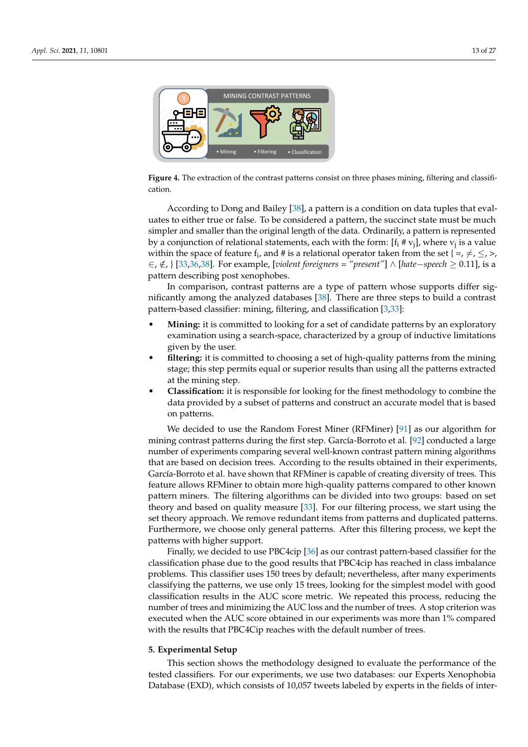<span id="page-12-1"></span>

**Figure 4.** The extraction of the contrast patterns consist on three phases mining, filtering and classification.

According to Dong and Bailey [\[38\]](#page-24-8), a pattern is a condition on data tuples that evaluates to either true or false. To be considered a pattern, the succinct state must be much simpler and smaller than the original length of the data. Ordinarily, a pattern is represented by a conjunction of relational statements, each with the form: [f $_{\rm i}$  # v<sub>j</sub>], where v<sub>j</sub> is a value within the space of feature  $f_i$ , and # is a relational operator taken from the set { =,  $\neq$ ,  $\leq$ , >, ∈, ∈/, } [\[33,](#page-24-3)[36,](#page-24-6)[38\]](#page-24-8). For example, [*violent foreigners = "present"*] ∧ [*hate*−*speech* ≥ 0.11], is a pattern describing post xenophobes.

In comparison, contrast patterns are a type of pattern whose supports differ significantly among the analyzed databases [\[38\]](#page-24-8). There are three steps to build a contrast pattern-based classifier: mining, filtering, and classification [\[3,](#page-23-2)[33\]](#page-24-3):

- **Mining:** it is committed to looking for a set of candidate patterns by an exploratory examination using a search-space, characterized by a group of inductive limitations given by the user.
- **filtering:** it is committed to choosing a set of high-quality patterns from the mining stage; this step permits equal or superior results than using all the patterns extracted at the mining step.
- **Classification:** it is responsible for looking for the finest methodology to combine the data provided by a subset of patterns and construct an accurate model that is based on patterns.

We decided to use the Random Forest Miner (RFMiner) [\[91\]](#page-26-6) as our algorithm for mining contrast patterns during the first step. García-Borroto et al. [\[92\]](#page-26-7) conducted a large number of experiments comparing several well-known contrast pattern mining algorithms that are based on decision trees. According to the results obtained in their experiments, García-Borroto et al. have shown that RFMiner is capable of creating diversity of trees. This feature allows RFMiner to obtain more high-quality patterns compared to other known pattern miners. The filtering algorithms can be divided into two groups: based on set theory and based on quality measure [\[33\]](#page-24-3). For our filtering process, we start using the set theory approach. We remove redundant items from patterns and duplicated patterns. Furthermore, we choose only general patterns. After this filtering process, we kept the patterns with higher support.

Finally, we decided to use PBC4cip [\[36\]](#page-24-6) as our contrast pattern-based classifier for the classification phase due to the good results that PBC4cip has reached in class imbalance problems. This classifier uses 150 trees by default; nevertheless, after many experiments classifying the patterns, we use only 15 trees, looking for the simplest model with good classification results in the AUC score metric. We repeated this process, reducing the number of trees and minimizing the AUC loss and the number of trees. A stop criterion was executed when the AUC score obtained in our experiments was more than 1% compared with the results that PBC4Cip reaches with the default number of trees.

#### <span id="page-12-0"></span>**5. Experimental Setup**

This section shows the methodology designed to evaluate the performance of the tested classifiers. For our experiments, we use two databases: our Experts Xenophobia Database (EXD), which consists of 10,057 tweets labeled by experts in the fields of inter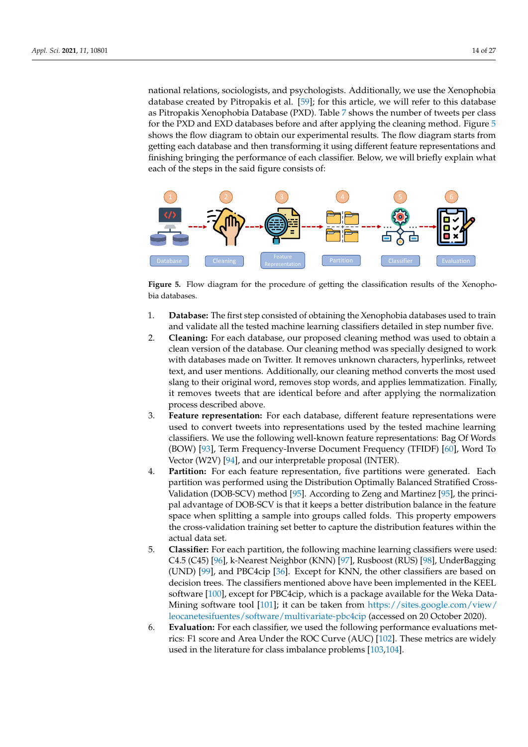national relations, sociologists, and psychologists. Additionally, we use the Xenophobia database created by Pitropakis et al. [\[59\]](#page-25-3); for this article, we will refer to this database as Pitropakis Xenophobia Database (PXD). Table [7](#page-14-1) shows the number of tweets per class for the PXD and EXD databases before and after applying the cleaning method. Figure [5](#page-13-0) shows the flow diagram to obtain our experimental results. The flow diagram starts from getting each database and then transforming it using different feature representations and finishing bringing the performance of each classifier. Below, we will briefly explain what each of the steps in the said figure consists of:

<span id="page-13-0"></span>

**Figure 5.** Flow diagram for the procedure of getting the classification results of the Xenophobia databases.

- 1. **Database:** The first step consisted of obtaining the Xenophobia databases used to train and validate all the tested machine learning classifiers detailed in step number five.
- 2. **Cleaning:** For each database, our proposed cleaning method was used to obtain a clean version of the database. Our cleaning method was specially designed to work with databases made on Twitter. It removes unknown characters, hyperlinks, retweet text, and user mentions. Additionally, our cleaning method converts the most used slang to their original word, removes stop words, and applies lemmatization. Finally, it removes tweets that are identical before and after applying the normalization process described above.
- 3. **Feature representation:** For each database, different feature representations were used to convert tweets into representations used by the tested machine learning classifiers. We use the following well-known feature representations: Bag Of Words (BOW) [\[93\]](#page-26-8), Term Frequency-Inverse Document Frequency (TFIDF) [\[60\]](#page-25-4), Word To Vector (W2V) [\[94\]](#page-26-9), and our interpretable proposal (INTER).
- 4. **Partition:** For each feature representation, five partitions were generated. Each partition was performed using the Distribution Optimally Balanced Stratified Cross-Validation (DOB-SCV) method [\[95\]](#page-26-10). According to Zeng and Martinez [\[95\]](#page-26-10), the principal advantage of DOB-SCV is that it keeps a better distribution balance in the feature space when splitting a sample into groups called folds. This property empowers the cross-validation training set better to capture the distribution features within the actual data set.
- 5. **Classifier:** For each partition, the following machine learning classifiers were used: C4.5 (C45) [\[96\]](#page-26-11), k-Nearest Neighbor (KNN) [\[97\]](#page-26-12), Rusboost (RUS) [\[98\]](#page-26-13), UnderBagging (UND) [\[99\]](#page-26-14), and PBC4cip [\[36\]](#page-24-6). Except for KNN, the other classifiers are based on decision trees. The classifiers mentioned above have been implemented in the KEEL software [\[100\]](#page-26-15), except for PBC4cip, which is a package available for the Weka Data-Mining software tool [\[101\]](#page-26-16); it can be taken from [https://sites.google.com/view/](https://sites.google.com/view/leocanetesifuentes/software/multivariate-pbc4cip) [leocanetesifuentes/software/multivariate-pbc4cip](https://sites.google.com/view/leocanetesifuentes/software/multivariate-pbc4cip) (accessed on 20 October 2020).
- 6. **Evaluation:** For each classifier, we used the following performance evaluations metrics: F1 score and Area Under the ROC Curve (AUC) [\[102\]](#page-26-17). These metrics are widely used in the literature for class imbalance problems [\[103,](#page-26-18)[104\]](#page-26-19).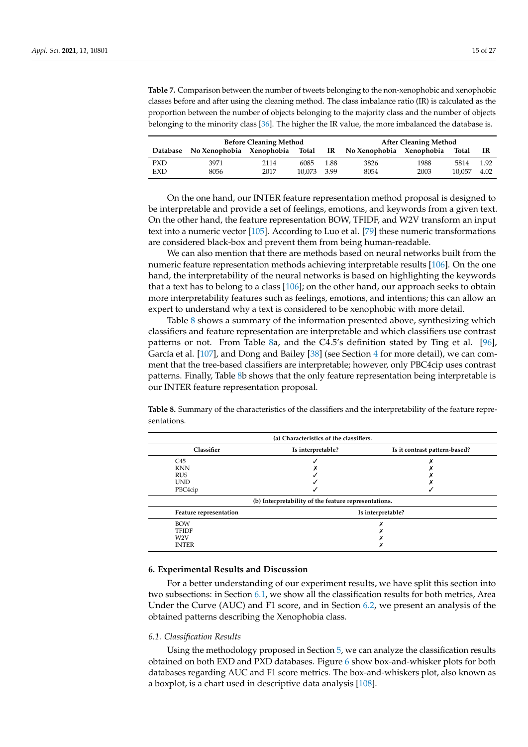<span id="page-14-1"></span>**Table 7.** Comparison between the number of tweets belonging to the non-xenophobic and xenophobic classes before and after using the cleaning method. The class imbalance ratio (IR) is calculated as the proportion between the number of objects belonging to the majority class and the number of objects belonging to the minority class [\[36\]](#page-24-6). The higher the IR value, the more imbalanced the database is.

|            |                                   | <b>Before Cleaning Method</b> | <b>After Cleaning Method</b> |      |                          |      |        |      |
|------------|-----------------------------------|-------------------------------|------------------------------|------|--------------------------|------|--------|------|
|            | Database No Xenophobia Xenophobia |                               | Total                        | IR   | No Xenophobia Xenophobia |      | Total  | ΙR   |
| <b>PXD</b> | 3971                              | 2114                          | 6085                         | 1.88 | 3826                     | 1988 | 5814   | 1.92 |
| EXD        | 8056                              | 2017                          | 10.073 3.99                  |      | 8054                     | 2003 | 10.057 | 4.02 |

On the one hand, our INTER feature representation method proposal is designed to be interpretable and provide a set of feelings, emotions, and keywords from a given text. On the other hand, the feature representation BOW, TFIDF, and W2V transform an input text into a numeric vector [\[105\]](#page-26-20). According to Luo et al. [\[79\]](#page-25-23) these numeric transformations are considered black-box and prevent them from being human-readable.

We can also mention that there are methods based on neural networks built from the numeric feature representation methods achieving interpretable results [\[106\]](#page-26-21). On the one hand, the interpretability of the neural networks is based on highlighting the keywords that a text has to belong to a class [\[106\]](#page-26-21); on the other hand, our approach seeks to obtain more interpretability features such as feelings, emotions, and intentions; this can allow an expert to understand why a text is considered to be xenophobic with more detail.

Table [8](#page-14-2) shows a summary of the information presented above, synthesizing which classifiers and feature representation are interpretable and which classifiers use contrast patterns or not. From Table [8a](#page-14-2), and the C4.5's definition stated by Ting et al. [\[96\]](#page-26-11), García et al. [\[107\]](#page-26-22), and Dong and Bailey [\[38\]](#page-24-8) (see Section [4](#page-7-0) for more detail), we can comment that the tree-based classifiers are interpretable; however, only PBC4cip uses contrast patterns. Finally, Table [8b](#page-14-2) shows that the only feature representation being interpretable is our INTER feature representation proposal.

<span id="page-14-2"></span>**Table 8.** Summary of the characteristics of the classifiers and the interpretability of the feature representations.

| (a) Characteristics of the classifiers. |                                                      |                               |  |  |  |  |  |  |  |
|-----------------------------------------|------------------------------------------------------|-------------------------------|--|--|--|--|--|--|--|
| Classifier                              | Is interpretable?                                    | Is it contrast pattern-based? |  |  |  |  |  |  |  |
| C45                                     |                                                      |                               |  |  |  |  |  |  |  |
| <b>KNN</b>                              |                                                      |                               |  |  |  |  |  |  |  |
| <b>RUS</b>                              |                                                      |                               |  |  |  |  |  |  |  |
| <b>IND</b>                              |                                                      |                               |  |  |  |  |  |  |  |
| PBC4cip                                 |                                                      |                               |  |  |  |  |  |  |  |
|                                         | (b) Interpretability of the feature representations. |                               |  |  |  |  |  |  |  |
| Feature representation                  |                                                      | Is interpretable?             |  |  |  |  |  |  |  |
| <b>BOW</b>                              |                                                      |                               |  |  |  |  |  |  |  |
| <b>TFIDF</b>                            |                                                      |                               |  |  |  |  |  |  |  |
| W <sub>2</sub> V                        |                                                      |                               |  |  |  |  |  |  |  |
| <b>INTER</b>                            |                                                      |                               |  |  |  |  |  |  |  |

#### <span id="page-14-0"></span>**6. Experimental Results and Discussion**

For a better understanding of our experiment results, we have split this section into two subsections: in Section [6.1,](#page-14-3) we show all the classification results for both metrics, Area Under the Curve (AUC) and F1 score, and in Section [6.2,](#page-19-0) we present an analysis of the obtained patterns describing the Xenophobia class.

#### <span id="page-14-3"></span>*6.1. Classification Results*

Using the methodology proposed in Section [5,](#page-12-0) we can analyze the classification results obtained on both EXD and PXD databases. Figure [6](#page-15-0) show box-and-whisker plots for both databases regarding AUC and F1 score metrics. The box-and-whiskers plot, also known as a boxplot, is a chart used in descriptive data analysis [\[108\]](#page-26-23).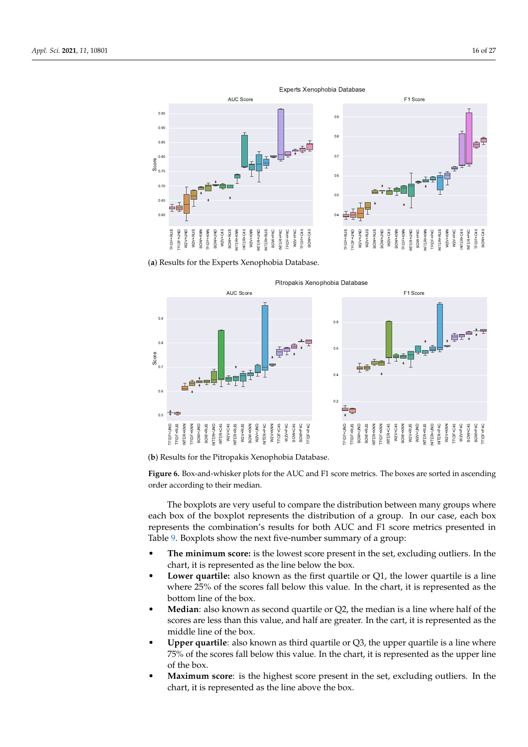<span id="page-15-0"></span>



(**a**) Results for the Experts Xenophobia Database.



(**b**) Results for the Pitropakis Xenophobia Database.

**Figure 6.** Box-and-whisker plots for the AUC and F1 score metrics. The boxes are sorted in ascending order according to their median.

The boxplots are very useful to compare the distribution between many groups where each box of the boxplot represents the distribution of a group. In our case, each box represents the combination's results for both AUC and F1 score metrics presented in Table [9.](#page-17-0) Boxplots show the next five-number summary of a group:

- **The minimum score:** is the lowest score present in the set, excluding outliers. In the chart, it is represented as the line below the box.
- **Lower quartile:** also known as the first quartile or Q1, the lower quartile is a line where 25% of the scores fall below this value. In the chart, it is represented as the bottom line of the box.
- **Median**: also known as second quartile or Q2, the median is a line where half of the scores are less than this value, and half are greater. In the cart, it is represented as the middle line of the box.
- **Upper quartile**: also known as third quartile or Q3, the upper quartile is a line where 75% of the scores fall below this value. In the chart, it is represented as the upper line of the box.
- **Maximum score**: is the highest score present in the set, excluding outliers. In the chart, it is represented as the line above the box.

Experts Xenophobia Database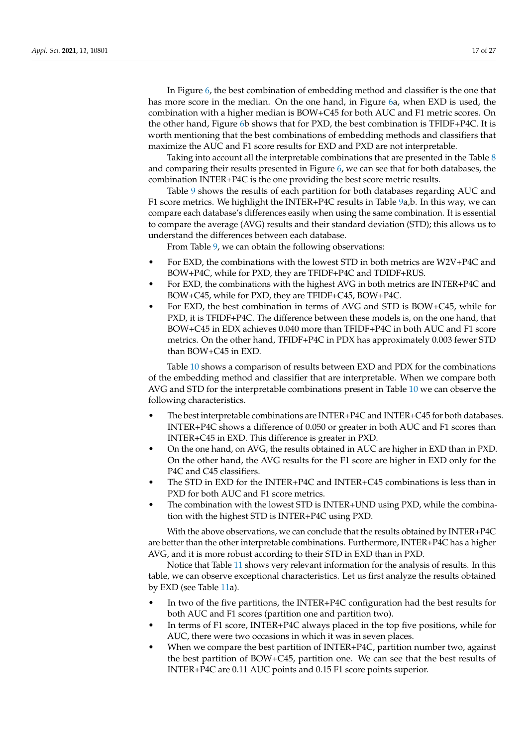In Figure [6,](#page-15-0) the best combination of embedding method and classifier is the one that has more score in the median. On the one hand, in Figure [6a](#page-15-0), when EXD is used, the combination with a higher median is BOW+C45 for both AUC and F1 metric scores. On the other hand, Figure [6b](#page-15-0) shows that for PXD, the best combination is TFIDF+P4C. It is worth mentioning that the best combinations of embedding methods and classifiers that maximize the AUC and F1 score results for EXD and PXD are not interpretable.

Taking into account all the interpretable combinations that are presented in the Table [8](#page-14-2) and comparing their results presented in Figure [6,](#page-15-0) we can see that for both databases, the combination INTER+P4C is the one providing the best score metric results.

Table [9](#page-17-0) shows the results of each partition for both databases regarding AUC and F1 score metrics. We highlight the INTER+P4C results in Table [9a](#page-17-0),b. In this way, we can compare each database's differences easily when using the same combination. It is essential to compare the average (AVG) results and their standard deviation (STD); this allows us to understand the differences between each database.

From Table [9,](#page-17-0) we can obtain the following observations:

- For EXD, the combinations with the lowest STD in both metrics are W2V+P4C and BOW+P4C, while for PXD, they are TFIDF+P4C and TDIDF+RUS.
- For EXD, the combinations with the highest AVG in both metrics are INTER+P4C and BOW+C45, while for PXD, they are TFIDF+C45, BOW+P4C.
- For EXD, the best combination in terms of AVG and STD is BOW+C45, while for PXD, it is TFIDF+P4C. The difference between these models is, on the one hand, that BOW+C45 in EDX achieves 0.040 more than TFIDF+P4C in both AUC and F1 score metrics. On the other hand, TFIDF+P4C in PDX has approximately 0.003 fewer STD than BOW+C45 in EXD.

Table [10](#page-17-1) shows a comparison of results between EXD and PDX for the combinations of the embedding method and classifier that are interpretable. When we compare both AVG and STD for the interpretable combinations present in Table [10](#page-17-1) we can observe the following characteristics.

- The best interpretable combinations are INTER+P4C and INTER+C45 for both databases. INTER+P4C shows a difference of 0.050 or greater in both AUC and F1 scores than INTER+C45 in EXD. This difference is greater in PXD.
- On the one hand, on AVG, the results obtained in AUC are higher in EXD than in PXD. On the other hand, the AVG results for the F1 score are higher in EXD only for the P4C and C45 classifiers.
- The STD in EXD for the INTER+P4C and INTER+C45 combinations is less than in PXD for both AUC and F1 score metrics.
- The combination with the lowest STD is INTER+UND using PXD, while the combination with the highest STD is INTER+P4C using PXD.

With the above observations, we can conclude that the results obtained by INTER+P4C are better than the other interpretable combinations. Furthermore, INTER+P4C has a higher AVG, and it is more robust according to their STD in EXD than in PXD.

Notice that Table [11](#page-18-0) shows very relevant information for the analysis of results. In this table, we can observe exceptional characteristics. Let us first analyze the results obtained by EXD (see Table [11a](#page-18-0)).

- In two of the five partitions, the INTER+P4C configuration had the best results for both AUC and F1 scores (partition one and partition two).
- In terms of F1 score, INTER+P4C always placed in the top five positions, while for AUC, there were two occasions in which it was in seven places.
- When we compare the best partition of INTER+P4C, partition number two, against the best partition of BOW+C45, partition one. We can see that the best results of INTER+P4C are 0.11 AUC points and 0.15 F1 score points superior.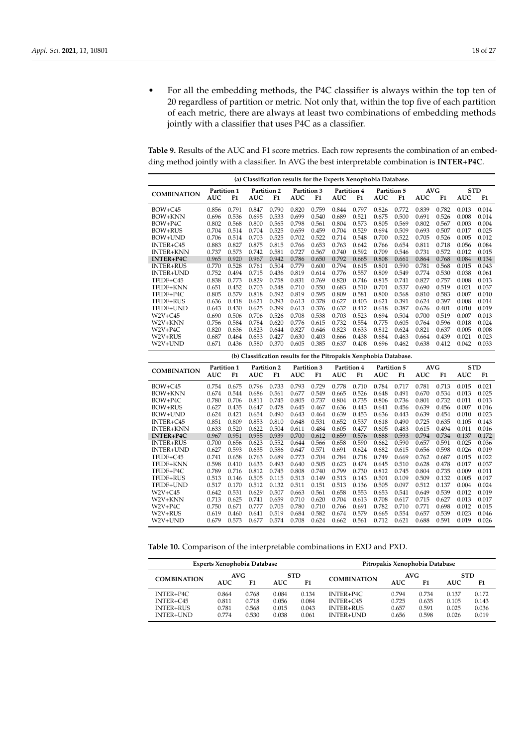• For all the embedding methods, the P4C classifier is always within the top ten of 20 regardless of partition or metric. Not only that, within the top five of each partition of each metric, there are always at least two combinations of embedding methods jointly with a classifier that uses P4C as a classifier.

<span id="page-17-0"></span>**Table 9.** Results of the AUC and F1 score metrics. Each row represents the combination of an embedding method jointly with a classifier. In AVG the best interpretable combination is **INTER+P4C**.

| (a) Classification results for the Experts Xenophobia Database. |                |                |                |                                                                   |                |                |                |                |                |                |                |                |                |                |
|-----------------------------------------------------------------|----------------|----------------|----------------|-------------------------------------------------------------------|----------------|----------------|----------------|----------------|----------------|----------------|----------------|----------------|----------------|----------------|
| <b>COMBINATION</b>                                              |                | Partition 1    |                | Partition 2                                                       |                | Partition 3    | Partition 4    |                | Partition 5    |                | <b>AVG</b>     |                | <b>STD</b>     |                |
|                                                                 | <b>AUC</b>     | F1             | <b>AUC</b>     | F1                                                                | AUC            | F1             | AUC            | F1             | <b>AUC</b>     | F1             | <b>AUC</b>     | F1             | AUC            | F1             |
| $BOW + C45$                                                     | 0.856          | 0.791          | 0.847          | 0.790                                                             | 0.820          | 0.759          | 0.844          | 0.797          | 0.826          | 0.772          | 0.839          | 0.782          | 0.013          | 0.014          |
| BOW+KNN                                                         | 0.696          | 0.536          | 0.695          | 0.533                                                             | 0.699          | 0.540          | 0.689          | 0.521          | 0.675          | 0.500          | 0.691          | 0.526          | 0.008          | 0.014          |
| BOW+P4C                                                         | 0.802          | 0.568          | 0.800          | 0.565                                                             | 0.798          | 0.561          | 0.804          | 0.573          | 0.805          | 0.569          | 0.802          | 0.567          | 0.003          | 0.004          |
| <b>BOW+RUS</b>                                                  | 0.704          | 0.514          | 0.704          | 0.525                                                             | 0.659          | 0.459          | 0.704          | 0.529          | 0.694          | 0.509          | 0.693          | 0.507          | 0.017          | 0.025          |
| BOW+UND                                                         | 0.706          | 0.514          | 0.703          | 0.525                                                             | 0.702          | 0.522          | 0.714          | 0.548          | 0.700          | 0.522          | 0.705          | 0.526          | 0.005          | 0.012          |
| INTER+C45                                                       | 0.883          | 0.827          | 0.875          | 0.815                                                             | 0.766          | 0.653          | 0.763          | 0.642          | 0.766          | 0.654          | 0.811          | 0.718          | 0.056          | 0.084          |
| <b>INTER+KNN</b>                                                | 0.737          | 0.573          | 0.742          | 0.581                                                             | 0.727          | 0.567          | 0.740          | 0.592          | 0.709          | 0.546          | 0.731          | 0.572          | 0.012          | 0.015          |
| <b>INTER+P4C</b>                                                | 0.965          | 0.920          | 0.967          | 0.942                                                             | 0.786          | 0.650          | 0.792          | 0.665          | 0.808          | 0.661          | 0.864          | 0.768          | 0.084          | 0.134          |
| <b>INTER+RUS</b>                                                | 0.770          | 0.528          | 0.761          | 0.504                                                             | 0.779          | 0.600          | 0.794          | 0.615          | 0.801          | 0.590          | 0.781          | 0.568          | 0.015          | 0.043          |
| INTER+UND                                                       | 0.752          | 0.494          | 0.715          | 0.436                                                             | 0.819          | 0.614          | 0.776          | 0.557          | 0.809          | 0.549          | 0.774          | 0.530          | 0.038          | 0.061          |
| TFIDF+C45                                                       | 0.838          | 0.773          | 0.829          | 0.758                                                             | 0.831          | 0.769          | 0.820          | 0.746          | 0.815          | 0.741          | 0.827          | 0.757          | 0.008          | 0.013          |
| TFIDF+KNN                                                       | 0.651          | 0.452          | 0.703          | 0.548                                                             | 0.710          | 0.550          | 0.683          | 0.510          | 0.701          | 0.537          | 0.690          | 0.519          | 0.021          | 0.037          |
| TFIDF+P4C                                                       | 0.805          | 0.579          | 0.818          | 0.592                                                             | 0.819          | 0.595          | 0.809          | 0.581          | 0.800          | 0.568          | 0.810          | 0.583          | 0.007          | 0.010          |
| TFIDF+RUS                                                       | 0.636          | 0.418          | 0.621          | 0.393                                                             | 0.613          | 0.378          | 0.627          | 0.403          | 0.621          | 0.391          | 0.624          | 0.397          | 0.008          | 0.014          |
| TFIDF+UND                                                       | 0.643          | 0.430          | 0.625          | 0.399                                                             | 0.613          | 0.376          | 0.632          | 0.412          | 0.618          | 0.387          | 0.626          | 0.401          | 0.010          | 0.019          |
| $W2V+C45$                                                       | 0.690          | 0.506          | 0.706          | 0.526                                                             | 0.708          | 0.538          | 0.703          | 0.523          | 0.694          | 0.504          | 0.700          | 0.519          | 0.007          | 0.013          |
| W2V+KNN                                                         | 0.756          | 0.584          | 0.784          | 0.620                                                             | 0.776          | 0.615          | 0.732          | 0.554          | 0.775          | 0.605          | 0.764          | 0.596          | 0.018          | 0.024          |
| $W2V + P4C$                                                     | 0.820          | 0.636          | 0.823          | 0.644                                                             | 0.827          | 0.646          | 0.823          | 0.633          | 0.812          | 0.624          | 0.821          | 0.637          | 0.005          | 0.008          |
| W2V+RUS                                                         | 0.687          | 0.464          | 0.653          | 0.427                                                             | 0.630          | 0.403          | 0.666          | 0.438          | 0.684          | 0.463          | 0.664          | 0.439          | 0.021          | 0.023          |
| W2V+UND                                                         | 0.671          | 0.436          | 0.580          | 0.370                                                             | 0.605          | 0.385          | 0.637          | 0.408          | 0.696          | 0.462          | 0.638          | 0.412          | 0.042          | 0.033          |
|                                                                 |                |                |                | (b) Classification results for the Pitropakis Xenphobia Database. |                |                |                |                |                |                |                |                |                |                |
| <b>COMBINATION</b>                                              |                | Partition 1    |                | Partition 2                                                       |                | Partition 3    |                | Partition 4    | Partition 5    |                | <b>AVG</b>     |                | <b>STD</b>     |                |
|                                                                 | AUC            | F1             | <b>AUC</b>     | F1                                                                | AUC            | F1             | AUC            | F1             | AUC            | F1             | AUC            | F1             | AUC            | F1             |
| $BOW + C45$                                                     | 0.754          | 0.675          | 0.796          | 0.733                                                             | 0.793          | 0.729          | 0.778          | 0.710          | 0.784          | 0.717          | 0.781          | 0.713          | 0.015          | 0.021          |
| BOW+KNN                                                         | 0.674          | 0.544          |                |                                                                   |                |                |                |                |                |                |                |                |                |                |
| BOW+P4C                                                         |                |                | 0.686          | 0.561                                                             | 0.677          | 0.549          | 0.665          | 0.526          | 0.648          | 0.491          | 0.670          | 0.534          | 0.013          | 0.025          |
|                                                                 | 0.780          | 0.706          | 0.811          | 0.745                                                             | 0.805          | 0.737          | 0.804          | 0.735          | 0.806          | 0.736          | 0.801          | 0.732          | 0.011          | 0.013          |
| BOW+RUS                                                         | 0.627          | 0.435          | 0.647          | 0.478                                                             | 0.645          | 0.467          | 0.636          | 0.443          | 0.641          | 0.456          | 0.639          | 0.456          | 0.007          | 0.016          |
| BOW+UND                                                         | 0.624          | 0.421          | 0.654          | 0.490                                                             | 0.643          | 0.464          | 0.639          | 0.453          | 0.636          | 0.443          | 0.639          | 0.454          | 0.010          | 0.023          |
| INTER+C45                                                       | 0.851          | 0.809          | 0.853          | 0.810                                                             | 0.648          | 0.531          | 0.652          | 0.537          | 0.618          | 0.490          | 0.725          | 0.635          | 0.105          | 0.143          |
| <b>INTER+KNN</b>                                                | 0.633          | 0.520          | 0.622          | 0.504                                                             | 0.611          | 0.484          | 0.605          | 0.477          | 0.605          | 0.483          | 0.615          | 0.494          | 0.011          | 0.016          |
| <b>INTER+P4C</b>                                                | 0.967          | 0.951          | 0.955          | 0.939                                                             | 0.700          | 0.612          | 0.659          | 0.576          | 0.688          | 0.593          | 0.794          | 0.734          | 0.137          | 0.172          |
| <b>INTER+RUS</b>                                                | 0.700          | 0.656          | 0.623          | 0.552                                                             | 0.644          | 0.566          | 0.658          | 0.590          | 0.662          | 0.590          | 0.657          | 0.591          | 0.025          | 0.036          |
| INTER+UND                                                       | 0.627          | 0.593          | 0.635          | 0.586                                                             | 0.647          | 0.571          | 0.691          | 0.624          | 0.682          | 0.615          | 0.656          | 0.598          | 0.026          | 0.019          |
| TFIDF+C45                                                       | 0.741          | 0.658          | 0.763          | 0.689                                                             | 0.773          | 0.704          | 0.784          | 0.718          | 0.749          | 0.669          | 0.762          | 0.687          | 0.015          | 0.022          |
| TFIDF+KNN                                                       | 0.598          | 0.410          | 0.633          | 0.493                                                             | 0.640          | 0.505          | 0.623          | 0.474          | 0.645          | 0.510          | 0.628          | 0.478          | 0.017          | 0.037          |
| TFIDF+P4C                                                       | 0.789          | 0.716          | 0.812          | 0.745                                                             | 0.808          | 0.740          | 0.799          | 0.730          | 0.812          | 0.745          | 0.804          | 0.735          | 0.009          | 0.011          |
| TFIDF+RUS                                                       | 0.513          | 0.146          | 0.505          | 0.115                                                             | 0.513          | 0.149          | 0.513          | 0.143          | 0.501          | 0.109          | 0.509          | 0.132          | 0.005          | 0.017          |
| TFIDF+UND                                                       | 0.517          | 0.170          | 0.512          | 0.132                                                             | 0.511          | 0.151          | 0.513          | 0.136          | 0.505          | 0.097          | 0.512          | 0.137          | 0.004          | 0.024          |
| $W2V+C45$                                                       | 0.642          | 0.531          | 0.629          | 0.507                                                             | 0.663          | 0.561          | 0.658          | 0.553          | 0.653          | 0.541          | 0.649          | 0.539          | 0.012          | 0.019          |
| W2V+KNN                                                         | 0.713          | 0.625          | 0.741          | 0.659                                                             | 0.710          | 0.620          | 0.704          | 0.613          | 0.708          | 0.617          | 0.715          | 0.627          | 0.013          | 0.017          |
| $W2V + P4C$                                                     | 0.750          | 0.671          | 0.777          | 0.705                                                             | 0.780          | 0.710          | 0.766          | 0.691          | 0.782          | 0.710          | 0.771          | 0.698          | 0.012          | 0.015          |
| W2V+RUS<br>W2V+UND                                              | 0.619<br>0.679 | 0.460<br>0.573 | 0.641<br>0.677 | 0.519<br>0.574                                                    | 0.684<br>0.708 | 0.582<br>0.624 | 0.674<br>0.662 | 0.579<br>0.561 | 0.665<br>0.712 | 0.554<br>0.621 | 0.657<br>0.688 | 0.539<br>0.591 | 0.023<br>0.019 | 0.046<br>0.026 |

<span id="page-17-1"></span>**Table 10.** Comparison of the interpretable combinations in EXD and PXD.

| <b>Experts Xenophobia Database</b> | Pitropakis Xenophobia Database |       |            |       |                    |       |       |            |       |
|------------------------------------|--------------------------------|-------|------------|-------|--------------------|-------|-------|------------|-------|
| <b>COMBINATION</b>                 | AVG                            |       | <b>STD</b> |       | <b>COMBINATION</b> | AVG.  |       | <b>STD</b> |       |
|                                    | AUC.                           | F1    | AUC.       | F1    |                    | AUC   | F1    | AUC.       | F1    |
| $INTER+P4C$                        | 0.864                          | 0.768 | 0.084      | 0.134 | $INTER+P4C$        | 0.794 | 0.734 | 0.137      | 0.172 |
| $INTER+C45$                        | 0.811                          | 0.718 | 0.056      | 0.084 | INTER+C45          | 0.725 | 0.635 | 0.105      | 0.143 |
| <b>INTER+RUS</b>                   | 0.781                          | 0.568 | 0.015      | 0.043 | <b>INTER+RUS</b>   | 0.657 | 0.591 | 0.025      | 0.036 |
| INTER+UND                          | 0.774                          | 0.530 | 0.038      | 0.061 | INTER+UND          | 0.656 | 0.598 | 0.026      | 0.019 |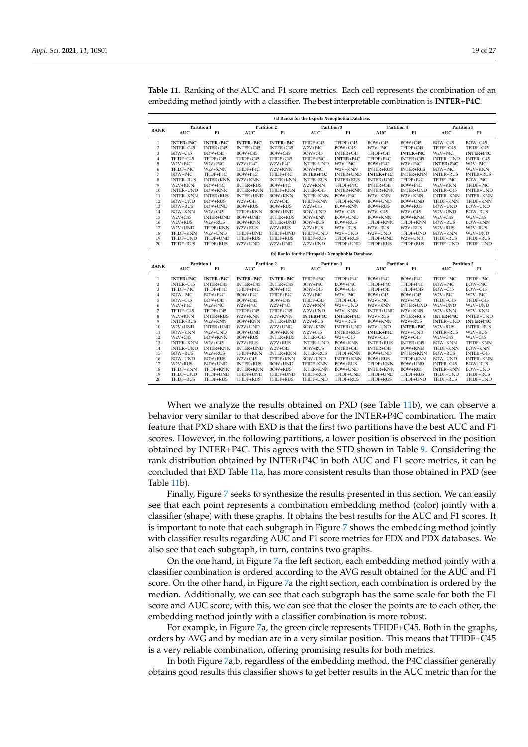|                |                        |                        |                        |                        |                        | (a) Ranks for the Experts Xenophobia Database.    |                        |                        |                        |                        |
|----------------|------------------------|------------------------|------------------------|------------------------|------------------------|---------------------------------------------------|------------------------|------------------------|------------------------|------------------------|
| RANK           | Partition 1            |                        |                        | Partition 2            | Partition 3            |                                                   | Partition 4            |                        | Partition 5            |                        |
|                | <b>AUC</b>             | F1                     | <b>AUC</b>             | F1                     | <b>AUC</b>             | F1                                                | <b>AUC</b>             | F1                     | <b>AUC</b>             | F1                     |
| $\mathbf{1}$   | INTER+P4C              | INTER+P4C              | INTER+P4C              | INTER+P4C              | TFIDF+C45              | TFIDF+C45                                         | BOW+C45                | $BOW + C45$            | BOW+C45                | BOW+C45                |
| $\overline{2}$ | INTER+C45              | INTER+C45              | INTER+C45              | INTER+C45              | W2V+P4C                | BOW+C45                                           | W2V+P4C                | TFIDF+C45              | TFIDF+C45              | TFIDF+C45              |
| 3              | BOW+C45                | BOW+C45                | BOW+C45                | BOW+C45                | BOW+C45                | INTER+C45                                         | TFIDF+C45              | INTER+P4C              | W2V+P4C                | <b>INTER+P4C</b>       |
| $\overline{4}$ | TFIDF+C45              | TFIDF+C45              | TFIDF+C45              | TFIDF+C45              | TFIDF+P4C              | <b>INTER+P4C</b>                                  | TFIDF+P4C              | INTER+C45              | <b>INTER+UND</b>       | INTER+C45              |
| 5              | W2V+P4C                | W2V+P4C                | W2V+P4C                | W2V+P4C                | INTER+UND              | W2V+P4C                                           | BOW+P4C                | W2V+P4C                | INTER+P4C              | W2V+P4C                |
| 6              | TFIDF+P4C              | W2V+KNN                | TFIDF+P4C              | W2V+KNN                | BOW+P4C                | W2V+KNN                                           | <b>INTER+RUS</b>       | <b>INTER+RUS</b>       | BOW+P4C                | W2V+KNN                |
| 7              | BOW+P4C                | TFIDF+P4C              | BOW+P4C                | TFIDF+P4C              | <b>INTER+P4C</b>       | INTER+UND                                         | INTER+P4C              | <b>INTER+KNN</b>       | <b>INTER+RUS</b>       | <b>INTER+RUS</b>       |
| 8              | <b>INTER+RUS</b>       | <b>INTER+KNN</b>       | W2V+KNN                | <b>INTER+KNN</b>       | <b>INTER+RUS</b>       | <b>INTER+RUS</b>                                  | INTER+UND              | TFIDF+P4C              | TFIDF+P4C              | BOW+P4C                |
| 9              | W2V+KNN                | BOW+P4C                | <b>INTER+RUS</b>       | BOW+P4C                | W2V+KNN                | TFIDF+P4C                                         | INTER+C45              | BOW+P4C                | W2V+KNN                | TFIDF+P4C              |
| 10             | <b>INTER+UND</b>       | BOW+KNN                | <b>INTER+KNN</b>       | TFIDF+KNN              | INTER+C45              | <b>INTER+KNN</b>                                  | <b>INTER+KNN</b>       | <b>INTER+UND</b>       | INTER+C45              | INTER+UND              |
| 11             | <b>INTER+KNN</b>       | <b>INTER+RUS</b>       | <b>INTER+UND</b>       | BOW+KNN                | <b>INTER+KNN</b>       | BOW+P4C                                           | W2V+KNN                | W2V+KNN                | <b>INTER+KNN</b>       | <b>INTER+KNN</b>       |
| 12             | BOW+UND                | BOW+RUS                | $W2V + C45$            | $W2V + C45$            | TFIDF+KNN              | TFIDF+KNN                                         | BOW+UND                | BOW+UND                | TFIDF+KNN              | TFIDF+KNN              |
| 13             | BOW+RUS                | BOW+UND                | <b>BOW+RUS</b>         | BOW+RUS                | $W2V + C45$            | BOW+KNN                                           | BOW+RUS                | <b>BOW+RUS</b>         | BOW+UND                | BOW+UND                |
| 14             | BOW+KNN                | W2V+C45                | TFIDF+KNN              | BOW+UND                | BOW+UND                | W2V+C45                                           | W2V+C45                | W2V+C45                | W2V+UND                | BOW+RUS                |
| 15             | W2V+C45                | INTER+UND              | BOW+UND                | <b>INTER+RUS</b>       | BOW+KNN                | BOW+UND                                           | BOW+KNN                | BOW+KNN                | W2V+C45                | $W2V+C45$              |
| 16             | W2V+RUS                | W2V+RUS                | <b>BOW+KNN</b>         | INTER+UND              | BOW+RUS                | BOW+RUS                                           | TFIDF+KNN              | TFIDF+KNN              | BOW+RUS                | BOW+KNN                |
| 17             | W2V+UND                | TFIDF+KNN              | W2V+RUS                | W2V+RUS                | W2V+RUS                | W2V+RUS                                           | W2V+RUS                | W2V+RUS                | W2V+RUS                | W2V+RUS                |
| 18             | TFIDF+KNN              | W2V+UND                | TFIDF+UND              | TFIDF+UND              | TFIDF+UND              | W2V+UND                                           | W2V+UND                | TFIDF+UND              | BOW+KNN                | W2V+UND                |
| 19             | TFIDF+UND              | TFIDF+UND              | TFIDF+RUS              | TFIDF+RUS              | TFIDF+RUS              | TFIDF+RUS                                         | TFIDF+UND              | W2V+UND                | TFIDF+RUS              | TFIDF+RUS              |
| 20             | TFIDF+RUS              | TFIDF+RUS              | W2V+UND                | W2V+UND                | W2V+UND                | TFIDF+UND                                         | TFIDF+RUS              | TFIDF+RUS              | TFIDF+UND              | TFIDF+UND              |
|                |                        |                        |                        |                        |                        | (b) Ranks for the Pitropakis Xenophobia Database. |                        |                        |                        |                        |
|                | Partition 1            |                        | Partition 2            |                        | Partition 3            |                                                   | Partition 4            |                        | Partition 5            |                        |
| RANK           | <b>AUC</b>             | F1                     | AUC                    | F1                     | <b>AUC</b>             | F1                                                | <b>AUC</b>             | F1                     | <b>AUC</b>             | F1                     |
|                |                        |                        |                        |                        |                        |                                                   |                        |                        |                        |                        |
| 1              | INTER+P4C              | INTER+P4C              | INTER+P4C              | INTER+P4C              | TFIDF+P4C              | TFIDF+P4C                                         | BOW+P4C                | BOW+P4C                | TFIDF+P4C              | TFIDF+P4C              |
| 2              | INTER+C45              | INTER+C45              | INTER+C45              | INTER+C45              | BOW+P4C                | BOW+P4C                                           | TFIDF+P4C              | TFIDF+P4C              | BOW+P4C                | BOW+P4C                |
| 3              | TFIDF+P4C              | TFIDF+P4C              | TFIDF+P4C              | BOW+P4C                | BOW+C45                | BOW+C45                                           | TFIDF+C45              | TFIDF+C45              | BOW+C45                | BOW+C45                |
| $\overline{4}$ | BOW+P4C                | BOW+P4C                | BOW+P4C                | TFIDF+P4C              | W2V+P4C                | W2V+P4C                                           | BOW+C45                | BOW+C45                | W2V+P4C                | W2V+P4C                |
| 5              | BOW+C45                | BOW+C45                | BOW+C45                | BOW+C45                | TFIDF+C45              | TFIDF+C45                                         | W2V+P4C                | W2V+P4C                | TFIDF+C45              | TFIDF+C45              |
| 6              | W2V+P4C                | W2V+P4C                | W2V+P4C                | W2V+P4C                | W2V+KNN                | W2V+UND                                           | W2V+KNN                | INTER+UND              | W2V+UND                | W2V+UND                |
| 7              | TFIDF+C45              | TFIDF+C45              | TFIDF+C45              | TFIDF+C45              | W2V+UND                | W2V+KNN                                           | <b>INTER+UND</b>       | W2V+KNN                | W2V+KNN                | W2V+KNN                |
| 8              | W2V+KNN                | <b>INTER+RUS</b>       | W2V+KNN                | W2V+KNN                | INTER+P4C              | INTER+P4C                                         | W2V+RUS                | <b>INTER+RUS</b>       | INTER+P4C              | INTER+UND              |
| 9              | <b>INTER+RUS</b>       | W2V+KNN                | <b>BOW+KNN</b>         | INTER+UND              | W2V+RUS                | W2V+RUS                                           | BOW+KNN                | W2V+RUS                | <b>INTER+UND</b>       | <b>INTER+P4C</b>       |
| 10             | W2V+UND                | INTER+UND              | W2V+UND                | W2V+UND                | BOW+KNN                | <b>INTER+UND</b>                                  | W2V+UND                | INTER+P4C              | W2V+RUS                | <b>INTER+RUS</b>       |
| 11             | BOW+KNN                | W2V+UND                | BOW+UND                | BOW+KNN                | $W2V + C45$            | <b>INTER+RUS</b>                                  | <b>INTER+P4C</b>       | W2V+UND                | <b>INTER+RUS</b>       | W2V+RUS                |
| 12             | W2V+C45                | BOW+KNN                | <b>BOW+RUS</b>         | <b>INTER+RUS</b>       | INTER+C45              | W2V+C45                                           | W2V+C45                | W2V+C45                | W2V+C45                | $W2V+C45$              |
| 13             | <b>INTER+KNN</b>       | W2V+C45                | W2V+RUS                | W2V+RUS                | INTER+UND              | BOW+KNN                                           | <b>INTER+RUS</b>       | INTER+C45              | BOW+KNN                | TFIDF+KNN              |
| 14             | <b>INTER+UND</b>       | <b>INTER+KNN</b>       | <b>INTER+UND</b>       | $W2V + C45$            | BOW+RUS                | INTER+C45                                         | INTER+C45              | BOW+KNN                | TFIDF+KNN              | BOW+KNN                |
| 15             | BOW+RUS                | W2V+RUS                | TFIDF+KNN              | <b>INTER+KNN</b>       | <b>INTER+RUS</b>       | TFIDF+KNN                                         | BOW+UND                | <b>INTER+KNN</b>       | BOW+RUS                | INTER+C45              |
| 16             | BOW+UND                | BOW+RUS                | W2V+C45                | TFIDF+KNN              | BOW+UND                | <b>INTER+KNN</b>                                  | BOW+RUS                | TFIDF+KNN              | BOW+UND                | <b>INTER+KNN</b>       |
| 17             | W2V+RUS                | BOW+UND                | <b>INTER+RUS</b>       | BOW+UND                | TFIDF+KNN              | <b>BOW+RUS</b>                                    | TFIDF+KNN              | BOW+UND                | INTER+C45              | <b>BOW+RUS</b>         |
| 18             | TFIDF+KNN              | TFIDF+KNN              | <b>INTER+KNN</b>       | BOW+RUS                | <b>INTER+KNN</b>       | BOW+UND                                           | <b>INTER+KNN</b>       | <b>BOW+RUS</b>         | <b>INTER+KNN</b>       | BOW+UND                |
| 19<br>20       | TFIDF+UND<br>TFIDF+RUS | TFIDF+UND<br>TFIDF+RUS | TFIDF+UND<br>TFIDF+RUS | TFIDF+UND<br>TFIDF+RUS | TFIDF+RUS<br>TFIDF+UND | TFIDF+UND<br>TFIDF+RUS                            | TFIDF+UND<br>TFIDF+RUS | TFIDF+RUS<br>TFIDF+UND | TFIDF+UND<br>TFIDF+RUS | TFIDF+RUS<br>TFIDF+UND |

<span id="page-18-0"></span>**Table 11.** Ranking of the AUC and F1 score metrics. Each cell represents the combination of an embedding method jointly with a classifier. The best interpretable combination is **INTER+P4C**.

When we analyze the results obtained on PXD (see Table [11b](#page-18-0)), we can observe a behavior very similar to that described above for the INTER+P4C combination. The main feature that PXD share with EXD is that the first two partitions have the best AUC and F1 scores. However, in the following partitions, a lower position is observed in the position obtained by INTER+P4C. This agrees with the STD shown in Table [9.](#page-17-0) Considering the rank distribution obtained by INTER+P4C in both AUC and F1 score metrics, it can be concluded that EXD Table [11a](#page-18-0), has more consistent results than those obtained in PXD (see Table [11b](#page-18-0)).

Finally, Figure [7](#page-19-1) seeks to synthesize the results presented in this section. We can easily see that each point represents a combination embedding method (color) jointly with a classifier (shape) with these graphs. It obtains the best results for the AUC and F1 scores. It is important to note that each subgraph in Figure [7](#page-19-1) shows the embedding method jointly with classifier results regarding AUC and F1 score metrics for EDX and PDX databases. We also see that each subgraph, in turn, contains two graphs.

On the one hand, in Figure [7a](#page-19-1) the left section, each embedding method jointly with a classifier combination is ordered according to the AVG result obtained for the AUC and F1 score. On the other hand, in Figure [7a](#page-19-1) the right section, each combination is ordered by the median. Additionally, we can see that each subgraph has the same scale for both the F1 score and AUC score; with this, we can see that the closer the points are to each other, the embedding method jointly with a classifier combination is more robust.

For example, in Figure [7a](#page-19-1), the green circle represents TFIDF+C45. Both in the graphs, orders by AVG and by median are in a very similar position. This means that TFIDF+C45 is a very reliable combination, offering promising results for both metrics.

In both Figure [7a](#page-19-1),b, regardless of the embedding method, the P4C classifier generally obtains good results this classifier shows to get better results in the AUC metric than for the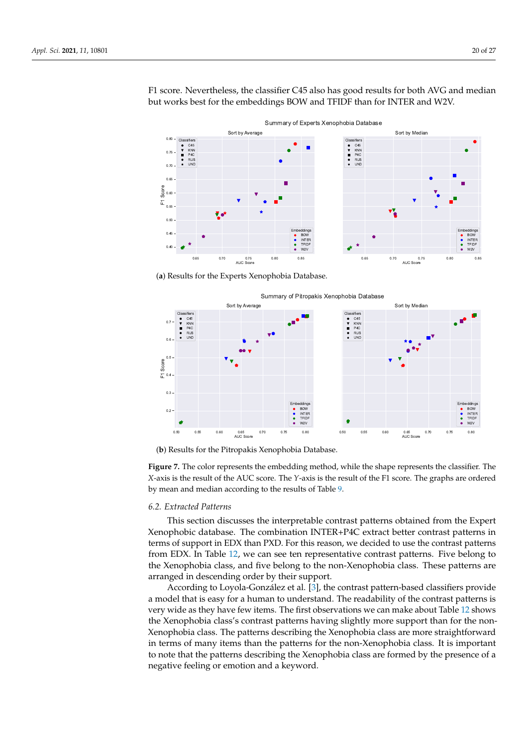<span id="page-19-1"></span>

F1 score. Nevertheless, the classifier C45 also has good results for both AVG and median but works best for the embeddings BOW and TFIDF than for INTER and W2V.

(**a**) Results for the Experts Xenophobia Database.



(**b**) Results for the Pitropakis Xenophobia Database.

**Figure 7.** The color represents the embedding method, while the shape represents the classifier. The *X*-axis is the result of the AUC score. The *Y*-axis is the result of the F1 score. The graphs are ordered by mean and median according to the results of Table [9.](#page-17-0)

#### <span id="page-19-0"></span>*6.2. Extracted Patterns*

This section discusses the interpretable contrast patterns obtained from the Expert Xenophobic database. The combination INTER+P4C extract better contrast patterns in terms of support in EDX than PXD. For this reason, we decided to use the contrast patterns from EDX. In Table [12,](#page-20-1) we can see ten representative contrast patterns. Five belong to the Xenophobia class, and five belong to the non-Xenophobia class. These patterns are arranged in descending order by their support.

According to Loyola-González et al. [\[3\]](#page-23-2), the contrast pattern-based classifiers provide a model that is easy for a human to understand. The readability of the contrast patterns is very wide as they have few items. The first observations we can make about Table [12](#page-20-1) shows the Xenophobia class's contrast patterns having slightly more support than for the non-Xenophobia class. The patterns describing the Xenophobia class are more straightforward in terms of many items than the patterns for the non-Xenophobia class. It is important to note that the patterns describing the Xenophobia class are formed by the presence of a negative feeling or emotion and a keyword.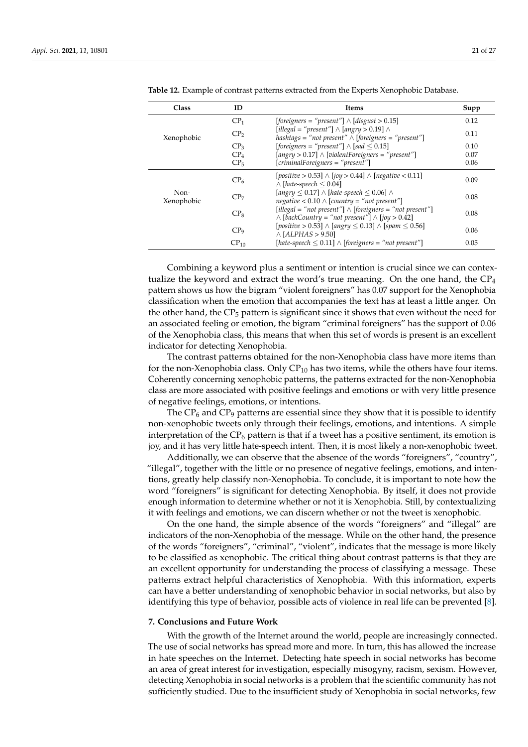| Class              | ID               | Items                                                                                                                                 | Supp |
|--------------------|------------------|---------------------------------------------------------------------------------------------------------------------------------------|------|
|                    | CP <sub>1</sub>  | [foreigners = "present"] $\land$ [disgust > 0.15]                                                                                     | 0.12 |
| Xenophobic         | CP <sub>2</sub>  | $[i] \leq \text{``present''} \wedge [angry > 0.19] \wedge$<br>hashtags = "not present" $\wedge$ [foreigners = "present"]              | 0.11 |
|                    | CP <sub>3</sub>  | [foreigners = "present"] $\land$ [sad $\leq$ 0.15]                                                                                    | 0.10 |
|                    | CP <sub>4</sub>  | $[angry > 0.17] \wedge [violent Foreigners = "present"]$                                                                              | 0.07 |
|                    | CP <sub>5</sub>  | $[criminal Foreigners = "present"]$                                                                                                   | 0.06 |
|                    | CP <sub>6</sub>  | $[positive > 0.53] \wedge [iou > 0.44] \wedge [negative < 0.11]$<br>$\wedge$ [hate-speech $\leq 0.04$ ]                               | 0.09 |
| Non-<br>Xenophobic | CP <sub>7</sub>  | $[angry \leq 0.17] \wedge [hate-speech \leq 0.06] \wedge$<br>$negative < 0.10 \land [country = "not present"]$                        | 0.08 |
|                    | $CP_8$           | $[i] \text{legal} = "not present"] \wedge [foreigners = "not present"]$<br>$\land$ [backCountry = "not present"] $\land$ [joy > 0.42] | 0.08 |
|                    | CP <sub>9</sub>  | $[positive > 0.53] \wedge [anyry < 0.13] \wedge [spam < 0.56]$<br>$\land$ [ALPHAS > 9.50]                                             | 0.06 |
|                    | CP <sub>10</sub> | [hate-speech $\leq$ 0.11] $\wedge$ [foreigners = "not present"]                                                                       | 0.05 |

<span id="page-20-1"></span>

|  |  |  |  |  |  |  |  |  |  |  | <b>Table 12.</b> Example of contrast patterns extracted from the Experts Xenophobic Database. |
|--|--|--|--|--|--|--|--|--|--|--|-----------------------------------------------------------------------------------------------|
|--|--|--|--|--|--|--|--|--|--|--|-----------------------------------------------------------------------------------------------|

Combining a keyword plus a sentiment or intention is crucial since we can contextualize the keyword and extract the word's true meaning. On the one hand, the  $CP_4$ pattern shows us how the bigram "violent foreigners" has 0.07 support for the Xenophobia classification when the emotion that accompanies the text has at least a little anger. On the other hand, the  $CP_5$  pattern is significant since it shows that even without the need for an associated feeling or emotion, the bigram "criminal foreigners" has the support of 0.06 of the Xenophobia class, this means that when this set of words is present is an excellent indicator for detecting Xenophobia.

The contrast patterns obtained for the non-Xenophobia class have more items than for the non-Xenophobia class. Only  $CP_{10}$  has two items, while the others have four items. Coherently concerning xenophobic patterns, the patterns extracted for the non-Xenophobia class are more associated with positive feelings and emotions or with very little presence of negative feelings, emotions, or intentions.

The  $CP_6$  and  $CP_9$  patterns are essential since they show that it is possible to identify non-xenophobic tweets only through their feelings, emotions, and intentions. A simple interpretation of the  $CP_6$  pattern is that if a tweet has a positive sentiment, its emotion is joy, and it has very little hate-speech intent. Then, it is most likely a non-xenophobic tweet.

Additionally, we can observe that the absence of the words "foreigners", "country", "illegal", together with the little or no presence of negative feelings, emotions, and intentions, greatly help classify non-Xenophobia. To conclude, it is important to note how the word "foreigners" is significant for detecting Xenophobia. By itself, it does not provide enough information to determine whether or not it is Xenophobia. Still, by contextualizing it with feelings and emotions, we can discern whether or not the tweet is xenophobic.

On the one hand, the simple absence of the words "foreigners" and "illegal" are indicators of the non-Xenophobia of the message. While on the other hand, the presence of the words "foreigners", "criminal", "violent", indicates that the message is more likely to be classified as xenophobic. The critical thing about contrast patterns is that they are an excellent opportunity for understanding the process of classifying a message. These patterns extract helpful characteristics of Xenophobia. With this information, experts can have a better understanding of xenophobic behavior in social networks, but also by identifying this type of behavior, possible acts of violence in real life can be prevented [\[8\]](#page-23-7).

#### <span id="page-20-0"></span>**7. Conclusions and Future Work**

With the growth of the Internet around the world, people are increasingly connected. The use of social networks has spread more and more. In turn, this has allowed the increase in hate speeches on the Internet. Detecting hate speech in social networks has become an area of great interest for investigation, especially misogyny, racism, sexism. However, detecting Xenophobia in social networks is a problem that the scientific community has not sufficiently studied. Due to the insufficient study of Xenophobia in social networks, few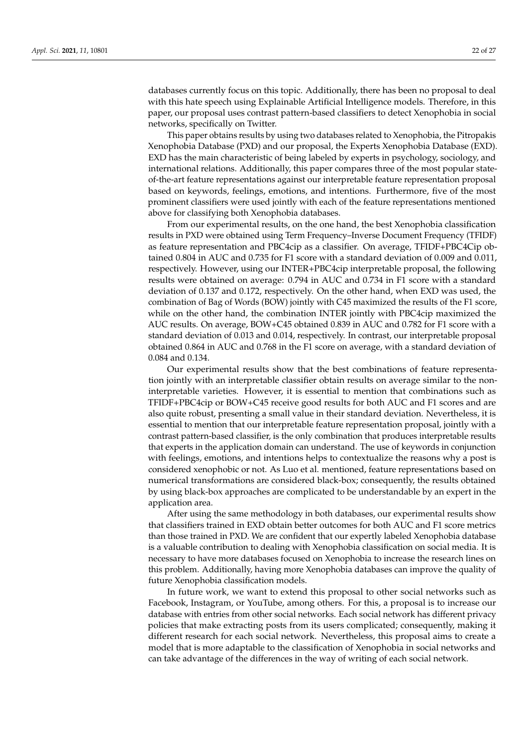databases currently focus on this topic. Additionally, there has been no proposal to deal with this hate speech using Explainable Artificial Intelligence models. Therefore, in this paper, our proposal uses contrast pattern-based classifiers to detect Xenophobia in social networks, specifically on Twitter.

This paper obtains results by using two databases related to Xenophobia, the Pitropakis Xenophobia Database (PXD) and our proposal, the Experts Xenophobia Database (EXD). EXD has the main characteristic of being labeled by experts in psychology, sociology, and international relations. Additionally, this paper compares three of the most popular stateof-the-art feature representations against our interpretable feature representation proposal based on keywords, feelings, emotions, and intentions. Furthermore, five of the most prominent classifiers were used jointly with each of the feature representations mentioned above for classifying both Xenophobia databases.

From our experimental results, on the one hand, the best Xenophobia classification results in PXD were obtained using Term Frequency–Inverse Document Frequency (TFIDF) as feature representation and PBC4cip as a classifier. On average, TFIDF+PBC4Cip obtained 0.804 in AUC and 0.735 for F1 score with a standard deviation of 0.009 and 0.011, respectively. However, using our INTER+PBC4cip interpretable proposal, the following results were obtained on average: 0.794 in AUC and 0.734 in F1 score with a standard deviation of 0.137 and 0.172, respectively. On the other hand, when EXD was used, the combination of Bag of Words (BOW) jointly with C45 maximized the results of the F1 score, while on the other hand, the combination INTER jointly with PBC4cip maximized the AUC results. On average, BOW+C45 obtained 0.839 in AUC and 0.782 for F1 score with a standard deviation of 0.013 and 0.014, respectively. In contrast, our interpretable proposal obtained 0.864 in AUC and 0.768 in the F1 score on average, with a standard deviation of 0.084 and 0.134.

Our experimental results show that the best combinations of feature representation jointly with an interpretable classifier obtain results on average similar to the noninterpretable varieties. However, it is essential to mention that combinations such as TFIDF+PBC4cip or BOW+C45 receive good results for both AUC and F1 scores and are also quite robust, presenting a small value in their standard deviation. Nevertheless, it is essential to mention that our interpretable feature representation proposal, jointly with a contrast pattern-based classifier, is the only combination that produces interpretable results that experts in the application domain can understand. The use of keywords in conjunction with feelings, emotions, and intentions helps to contextualize the reasons why a post is considered xenophobic or not. As Luo et al. mentioned, feature representations based on numerical transformations are considered black-box; consequently, the results obtained by using black-box approaches are complicated to be understandable by an expert in the application area.

After using the same methodology in both databases, our experimental results show that classifiers trained in EXD obtain better outcomes for both AUC and F1 score metrics than those trained in PXD. We are confident that our expertly labeled Xenophobia database is a valuable contribution to dealing with Xenophobia classification on social media. It is necessary to have more databases focused on Xenophobia to increase the research lines on this problem. Additionally, having more Xenophobia databases can improve the quality of future Xenophobia classification models.

In future work, we want to extend this proposal to other social networks such as Facebook, Instagram, or YouTube, among others. For this, a proposal is to increase our database with entries from other social networks. Each social network has different privacy policies that make extracting posts from its users complicated; consequently, making it different research for each social network. Nevertheless, this proposal aims to create a model that is more adaptable to the classification of Xenophobia in social networks and can take advantage of the differences in the way of writing of each social network.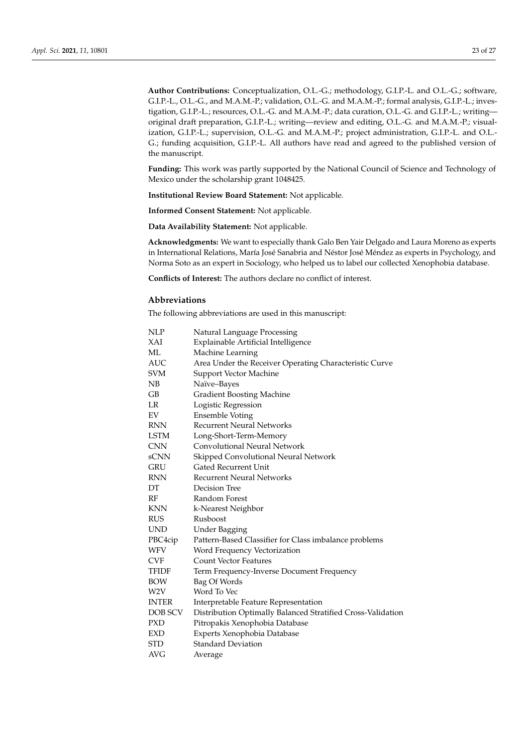**Author Contributions:** Conceptualization, O.L.-G.; methodology, G.I.P.-L. and O.L.-G.; software, G.I.P.-L., O.L.-G., and M.A.M.-P.; validation, O.L.-G. and M.A.M.-P.; formal analysis, G.I.P.-L.; investigation, G.I.P.-L.; resources, O.L.-G. and M.A.M.-P.; data curation, O.L.-G. and G.I.P.-L.; writing original draft preparation, G.I.P.-L.; writing—review and editing, O.L.-G. and M.A.M.-P.; visualization, G.I.P.-L.; supervision, O.L.-G. and M.A.M.-P.; project administration, G.I.P.-L. and O.L.- G.; funding acquisition, G.I.P.-L. All authors have read and agreed to the published version of the manuscript.

**Funding:** This work was partly supported by the National Council of Science and Technology of Mexico under the scholarship grant 1048425.

**Institutional Review Board Statement:** Not applicable.

**Informed Consent Statement:** Not applicable.

**Data Availability Statement:** Not applicable.

**Acknowledgments:** We want to especially thank Galo Ben Yair Delgado and Laura Moreno as experts in International Relations, María José Sanabria and Néstor José Méndez as experts in Psychology, and Norma Soto as an expert in Sociology, who helped us to label our collected Xenophobia database.

**Conflicts of Interest:** The authors declare no conflict of interest.

#### **Abbreviations**

The following abbreviations are used in this manuscript:

| NLP               | Natural Language Processing                                 |  |  |  |  |
|-------------------|-------------------------------------------------------------|--|--|--|--|
| XAI               | Explainable Artificial Intelligence                         |  |  |  |  |
| ML                | Machine Learning                                            |  |  |  |  |
| AUC               | Area Under the Receiver Operating Characteristic Curve      |  |  |  |  |
| SVM               | <b>Support Vector Machine</b>                               |  |  |  |  |
| NB                | Naïve–Bayes                                                 |  |  |  |  |
| GВ                | <b>Gradient Boosting Machine</b>                            |  |  |  |  |
| LR                | Logistic Regression                                         |  |  |  |  |
| EV                | <b>Ensemble Voting</b>                                      |  |  |  |  |
| RNN               | <b>Recurrent Neural Networks</b>                            |  |  |  |  |
| LSTM              | Long-Short-Term-Memory                                      |  |  |  |  |
| CNN               | Convolutional Neural Network                                |  |  |  |  |
| sCNN              | Skipped Convolutional Neural Network                        |  |  |  |  |
| GRU               | <b>Gated Recurrent Unit</b>                                 |  |  |  |  |
| RNN               | <b>Recurrent Neural Networks</b>                            |  |  |  |  |
| DΤ                | Decision Tree                                               |  |  |  |  |
| RF                | Random Forest                                               |  |  |  |  |
| KNN               | k-Nearest Neighbor                                          |  |  |  |  |
| RUS               | Rusboost                                                    |  |  |  |  |
| UND               | <b>Under Bagging</b>                                        |  |  |  |  |
| PBC4cip           | Pattern-Based Classifier for Class imbalance problems       |  |  |  |  |
| WFV               | Word Frequency Vectorization                                |  |  |  |  |
| $_{\mathrm{CVF}}$ | <b>Count Vector Features</b>                                |  |  |  |  |
| TFIDF             | Term Frequency-Inverse Document Frequency                   |  |  |  |  |
| BOW               | Bag Of Words                                                |  |  |  |  |
| W2V               | Word To Vec                                                 |  |  |  |  |
| INTER             | Interpretable Feature Representation                        |  |  |  |  |
| DOB SCV           | Distribution Optimally Balanced Stratified Cross-Validation |  |  |  |  |
| PXD               | Pitropakis Xenophobia Database                              |  |  |  |  |
| EXD               | Experts Xenophobia Database                                 |  |  |  |  |
| STD               | <b>Standard Deviation</b>                                   |  |  |  |  |
| AVG               | Average                                                     |  |  |  |  |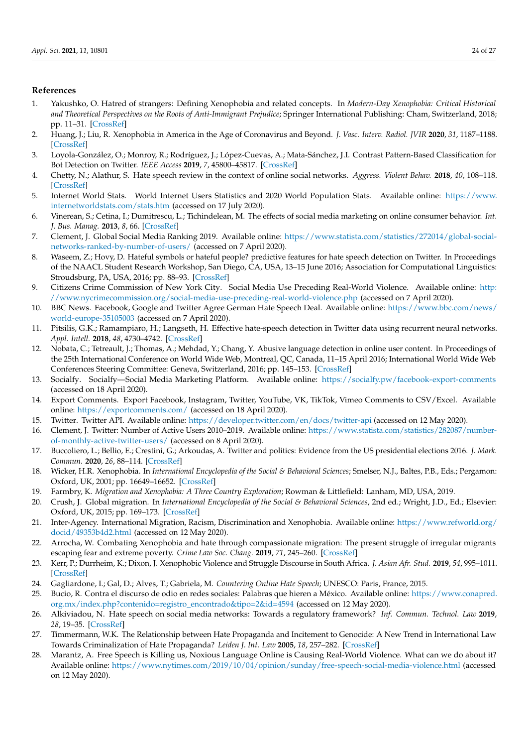## **References**

- <span id="page-23-0"></span>1. Yakushko, O. Hatred of strangers: Defining Xenophobia and related concepts. In *Modern-Day Xenophobia: Critical Historical and Theoretical Perspectives on the Roots of Anti-Immigrant Prejudice*; Springer International Publishing: Cham, Switzerland, 2018; pp. 11–31. [\[CrossRef\]](http://doi.org/10.1007/978-3-030-00644-0_2)
- <span id="page-23-1"></span>2. Huang, J.; Liu, R. Xenophobia in America in the Age of Coronavirus and Beyond. *J. Vasc. Interv. Radiol. JVIR* **2020**, *31*, 1187–1188. [\[CrossRef\]](http://dx.doi.org/10.1016/j.jvir.2020.04.020)
- <span id="page-23-2"></span>3. Loyola-González, O.; Monroy, R.; Rodríguez, J.; López-Cuevas, A.; Mata-Sánchez, J.I. Contrast Pattern-Based Classification for Bot Detection on Twitter. *IEEE Access* **2019**, *7*, 45800–45817. [\[CrossRef\]](http://dx.doi.org/10.1109/ACCESS.2019.2904220)
- <span id="page-23-3"></span>4. Chetty, N.; Alathur, S. Hate speech review in the context of online social networks. *Aggress. Violent Behav.* **2018**, *40*, 108–118. [\[CrossRef\]](http://dx.doi.org/10.1016/j.avb.2018.05.003)
- <span id="page-23-4"></span>5. Internet World Stats. World Internet Users Statistics and 2020 World Population Stats. Available online: [https://www.](https://www.internetworldstats.com/stats.htm) [internetworldstats.com/stats.htm](https://www.internetworldstats.com/stats.htm) (accessed on 17 July 2020).
- <span id="page-23-5"></span>6. Vinerean, S.; Cetina, I.; Dumitrescu, L.; Tichindelean, M. The effects of social media marketing on online consumer behavior. *Int. J. Bus. Manag.* **2013**, *8*, 66. [\[CrossRef\]](http://dx.doi.org/10.5539/ijbm.v8n14p66)
- <span id="page-23-6"></span>7. Clement, J. Global Social Media Ranking 2019. Available online: [https://www.statista.com/statistics/272014/global-social](https://www.statista.com/statistics/272014/global-social-networks-ranked-by-number-of-users/)[networks-ranked-by-number-of-users/](https://www.statista.com/statistics/272014/global-social-networks-ranked-by-number-of-users/) (accessed on 7 April 2020).
- <span id="page-23-7"></span>8. Waseem, Z.; Hovy, D. Hateful symbols or hateful people? predictive features for hate speech detection on Twitter. In Proceedings of the NAACL Student Research Workshop, San Diego, CA, USA, 13–15 June 2016; Association for Computational Linguistics: Stroudsburg, PA, USA, 2016; pp. 88–93. [\[CrossRef\]](http://dx.doi.org/10.18653/v1/N16-2013)
- <span id="page-23-8"></span>9. Citizens Crime Commission of New York City. Social Media Use Preceding Real-World Violence. Available online: [http:](http://www.nycrimecommission.org/social-media-use-preceding-real-world-violence.php) [//www.nycrimecommission.org/social-media-use-preceding-real-world-violence.php](http://www.nycrimecommission.org/social-media-use-preceding-real-world-violence.php) (accessed on 7 April 2020).
- <span id="page-23-9"></span>10. BBC News. Facebook, Google and Twitter Agree German Hate Speech Deal. Available online: [https://www.bbc.com/news/](https://www.bbc.com/news/world-europe-35105003) [world-europe-35105003](https://www.bbc.com/news/world-europe-35105003) (accessed on 7 April 2020).
- <span id="page-23-10"></span>11. Pitsilis, G.K.; Ramampiaro, H.; Langseth, H. Effective hate-speech detection in Twitter data using recurrent neural networks. *Appl. Intell.* **2018**, *48*, 4730–4742. [\[CrossRef\]](http://dx.doi.org/10.1007/s10489-018-1242-y)
- <span id="page-23-11"></span>12. Nobata, C.; Tetreault, J.; Thomas, A.; Mehdad, Y.; Chang, Y. Abusive language detection in online user content. In Proceedings of the 25th International Conference on World Wide Web, Montreal, QC, Canada, 11–15 April 2016; International World Wide Web Conferences Steering Committee: Geneva, Switzerland, 2016; pp. 145–153. [\[CrossRef\]](http://dx.doi.org/10.1145/2872427.2883062)
- <span id="page-23-12"></span>13. Socialfy. Socialfy—Social Media Marketing Platform. Available online: <https://socialfy.pw/facebook-export-comments> (accessed on 18 April 2020).
- <span id="page-23-13"></span>14. Export Comments. Export Facebook, Instagram, Twitter, YouTube, VK, TikTok, Vimeo Comments to CSV/Excel. Available online: <https://exportcomments.com/> (accessed on 18 April 2020).
- <span id="page-23-14"></span>15. Twitter. Twitter API. Available online: <https://developer.twitter.com/en/docs/twitter-api> (accessed on 12 May 2020).
- <span id="page-23-15"></span>16. Clement, J. Twitter: Number of Active Users 2010–2019. Available online: [https://www.statista.com/statistics/282087/number](https://www.statista.com/statistics/282087/number-of-monthly-active-twitter-users/)[of-monthly-active-twitter-users/](https://www.statista.com/statistics/282087/number-of-monthly-active-twitter-users/) (accessed on 8 April 2020).
- <span id="page-23-16"></span>17. Buccoliero, L.; Bellio, E.; Crestini, G.; Arkoudas, A. Twitter and politics: Evidence from the US presidential elections 2016. *J. Mark. Commun.* **2020**, *26*, 88–114. [\[CrossRef\]](http://dx.doi.org/10.1080/13527266.2018.1504228)
- <span id="page-23-17"></span>18. Wicker, H.R. Xenophobia. In *International Encyclopedia of the Social & Behavioral Sciences*; Smelser, N.J., Baltes, P.B., Eds.; Pergamon: Oxford, UK, 2001; pp. 16649–16652. [\[CrossRef\]](http://dx.doi.org/10.1016/B0-08-043076-7/00980-3)
- <span id="page-23-18"></span>19. Farmbry, K. *Migration and Xenophobia: A Three Country Exploration*; Rowman & Littlefield: Lanham, MD, USA, 2019.
- <span id="page-23-19"></span>20. Crush, J. Global migration. In *International Encyclopedia of the Social & Behavioral Sciences*, 2nd ed.; Wright, J.D., Ed.; Elsevier: Oxford, UK, 2015; pp. 169–173. [\[CrossRef\]](http://dx.doi.org/10.1016/B978-0-08-097086-8.72113-1)
- <span id="page-23-20"></span>21. Inter-Agency. International Migration, Racism, Discrimination and Xenophobia. Available online: [https://www.refworld.org/](https://www.refworld.org/docid/49353b4d2.html) [docid/49353b4d2.html](https://www.refworld.org/docid/49353b4d2.html) (accessed on 12 May 2020).
- <span id="page-23-21"></span>22. Arrocha, W. Combating Xenophobia and hate through compassionate migration: The present struggle of irregular migrants escaping fear and extreme poverty. *Crime Law Soc. Chang.* **2019**, *71*, 245–260. [\[CrossRef\]](http://dx.doi.org/10.1007/s10611-019-09833-w)
- <span id="page-23-22"></span>23. Kerr, P.; Durrheim, K.; Dixon, J. Xenophobic Violence and Struggle Discourse in South Africa. *J. Asian Afr. Stud.* **2019**, *54*, 995–1011. [\[CrossRef\]](http://dx.doi.org/10.1177/0021909619851827)
- <span id="page-23-23"></span>24. Gagliardone, I.; Gal, D.; Alves, T.; Gabriela, M. *Countering Online Hate Speech*; UNESCO: Paris, France, 2015.
- <span id="page-23-24"></span>25. Bucio, R. Contra el discurso de odio en redes sociales: Palabras que hieren a México. Available online: [https://www.conapred.](https://www.conapred.org.mx/index.php?contenido=registro_encontrado&tipo=2&id=4594) [org.mx/index.php?contenido=registro\\_encontrado&tipo=2&id=4594](https://www.conapred.org.mx/index.php?contenido=registro_encontrado&tipo=2&id=4594) (accessed on 12 May 2020).
- <span id="page-23-25"></span>26. Alkiviadou, N. Hate speech on social media networks: Towards a regulatory framework? *Inf. Commun. Technol. Law* **2019**, *28*, 19–35. [\[CrossRef\]](http://dx.doi.org/10.1080/13600834.2018.1494417)
- <span id="page-23-26"></span>27. Timmermann, W.K. The Relationship between Hate Propaganda and Incitement to Genocide: A New Trend in International Law Towards Criminalization of Hate Propaganda? *Leiden J. Int. Law* **2005**, *18*, 257–282. [\[CrossRef\]](http://dx.doi.org/10.1017/S0922156505002633)
- <span id="page-23-27"></span>28. Marantz, A. Free Speech is Killing us, Noxious Language Online is Causing Real-World Violence. What can we do about it? Available online: <https://www.nytimes.com/2019/10/04/opinion/sunday/free-speech-social-media-violence.html> (accessed on 12 May 2020).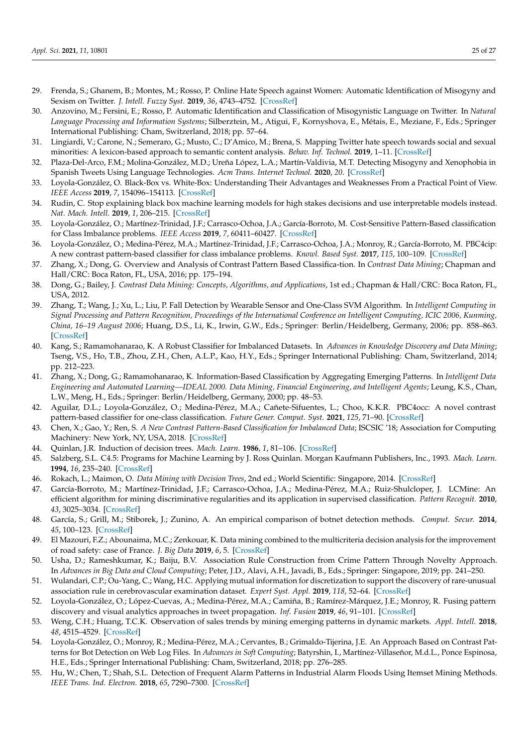- <span id="page-24-0"></span>29. Frenda, S.; Ghanem, B.; Montes, M.; Rosso, P. Online Hate Speech against Women: Automatic Identification of Misogyny and Sexism on Twitter. *J. Intell. Fuzzy Syst.* **2019**, *36*, 4743–4752. [\[CrossRef\]](http://dx.doi.org/10.3233/JIFS-179023)
- 30. Anzovino, M.; Fersini, E.; Rosso, P. Automatic Identification and Classification of Misogynistic Language on Twitter. In *Natural Language Processing and Information Systems*; Silberztein, M., Atigui, F., Kornyshova, E., Métais, E., Meziane, F., Eds.; Springer International Publishing: Cham, Switzerland, 2018; pp. 57–64.
- <span id="page-24-1"></span>31. Lingiardi, V.; Carone, N.; Semeraro, G.; Musto, C.; D'Amico, M.; Brena, S. Mapping Twitter hate speech towards social and sexual minorities: A lexicon-based approach to semantic content analysis. *Behav. Inf. Technol.* **2019**, 1–11. [\[CrossRef\]](http://dx.doi.org/10.1080/0144929X.2019.1607903)
- <span id="page-24-2"></span>32. Plaza-Del-Arco, F.M.; Molina-González, M.D.; Ureña López, L.A.; Martín-Valdivia, M.T. Detecting Misogyny and Xenophobia in Spanish Tweets Using Language Technologies. *Acm Trans. Internet Technol.* **2020**, *20*. [\[CrossRef\]](http://dx.doi.org/10.1145/3369869)
- <span id="page-24-3"></span>33. Loyola-González, O. Black-Box vs. White-Box: Understanding Their Advantages and Weaknesses From a Practical Point of View. *IEEE Access* **2019**, *7*, 154096–154113. [\[CrossRef\]](http://dx.doi.org/10.1109/ACCESS.2019.2949286)
- <span id="page-24-4"></span>34. Rudin, C. Stop explaining black box machine learning models for high stakes decisions and use interpretable models instead. *Nat. Mach. Intell.* **2019**, *1*, 206–215. [\[CrossRef\]](http://dx.doi.org/10.1038/s42256-019-0048-x)
- <span id="page-24-5"></span>35. Loyola-González, O.; Martínez-Trinidad, J.F.; Carrasco-Ochoa, J.A.; García-Borroto, M. Cost-Sensitive Pattern-Based classification for Class Imbalance problems. *IEEE Access* **2019**, *7*, 60411–60427. [\[CrossRef\]](http://dx.doi.org/10.1109/ACCESS.2019.2913982)
- <span id="page-24-6"></span>36. Loyola-González, O.; Medina-Pérez, M.A.; Martínez-Trinidad, J.F.; Carrasco-Ochoa, J.A.; Monroy, R.; García-Borroto, M. PBC4cip: A new contrast pattern-based classifier for class imbalance problems. *Knowl. Based Syst.* **2017**, *115*, 100–109. [\[CrossRef\]](http://dx.doi.org/10.1016/j.knosys.2016.10.018)
- <span id="page-24-7"></span>37. Zhang, X.; Dong, G. Overview and Analysis of Contrast Pattern Based Classifica-tion. In *Contrast Data Mining*; Chapman and Hall/CRC: Boca Raton, FL, USA, 2016; pp. 175–194.
- <span id="page-24-8"></span>38. Dong, G.; Bailey, J. *Contrast Data Mining: Concepts, Algorithms, and Applications*, 1st ed.; Chapman & Hall/CRC: Boca Raton, FL, USA, 2012.
- <span id="page-24-9"></span>39. Zhang, T.; Wang, J.; Xu, L.; Liu, P. Fall Detection by Wearable Sensor and One-Class SVM Algorithm. In *Intelligent Computing in Signal Processing and Pattern Recognition, Proceedings of the International Conference on Intelligent Computing, ICIC 2006, Kunming, China, 16–19 August 2006*; Huang, D.S., Li, K., Irwin, G.W., Eds.; Springer: Berlin/Heidelberg, Germany, 2006; pp. 858–863. [\[CrossRef\]](http://dx.doi.org/10.1007/978-3-540-37258-5_104)
- <span id="page-24-10"></span>40. Kang, S.; Ramamohanarao, K. A Robust Classifier for Imbalanced Datasets. In *Advances in Knowledge Discovery and Data Mining*; Tseng, V.S., Ho, T.B., Zhou, Z.H., Chen, A.L.P., Kao, H.Y., Eds.; Springer International Publishing: Cham, Switzerland, 2014; pp. 212–223.
- <span id="page-24-11"></span>41. Zhang, X.; Dong, G.; Ramamohanarao, K. Information-Based Classification by Aggregating Emerging Patterns. In *Intelligent Data Engineering and Automated Learning—IDEAL 2000. Data Mining, Financial Engineering, and Intelligent Agents*; Leung, K.S., Chan, L.W., Meng, H., Eds.; Springer: Berlin/Heidelberg, Germany, 2000; pp. 48–53.
- <span id="page-24-12"></span>42. Aguilar, D.L.; Loyola-González, O.; Medina-Pérez, M.A.; Cañete-Sifuentes, L.; Choo, K.K.R. PBC4occ: A novel contrast pattern-based classifier for one-class classification. *Future Gener. Comput. Syst.* **2021**, *125*, 71–90. [\[CrossRef\]](http://dx.doi.org/10.1016/j.future.2021.06.046)
- <span id="page-24-13"></span>43. Chen, X.; Gao, Y.; Ren, S. *A New Contrast Pattern-Based Classification for Imbalanced Data*; ISCSIC '18; Association for Computing Machinery: New York, NY, USA, 2018. [\[CrossRef\]](http://dx.doi.org/10.1145/3284557.3284708)
- <span id="page-24-14"></span>44. Quinlan, J.R. Induction of decision trees. *Mach. Learn.* **1986**, *1*, 81–106. [\[CrossRef\]](http://dx.doi.org/10.1007/BF00116251)
- <span id="page-24-15"></span>45. Salzberg, S.L. C4.5: Programs for Machine Learning by J. Ross Quinlan. Morgan Kaufmann Publishers, Inc., 1993. *Mach. Learn.* **1994**, *16*, 235–240. [\[CrossRef\]](http://dx.doi.org/10.1007/BF00993309)
- <span id="page-24-16"></span>46. Rokach, L.; Maimon, O. *Data Mining with Decision Trees*, 2nd ed.; World Scientific: Singapore, 2014. [\[CrossRef\]](http://dx.doi.org/10.1142/9097)
- <span id="page-24-17"></span>47. García-Borroto, M.; Martínez-Trinidad, J.F.; Carrasco-Ochoa, J.A.; Medina-Pérez, M.A.; Ruiz-Shulcloper, J. LCMine: An efficient algorithm for mining discriminative regularities and its application in supervised classification. *Pattern Recognit.* **2010**, *43*, 3025–3034. [\[CrossRef\]](http://dx.doi.org/10.1016/j.patcog.2010.04.008)
- <span id="page-24-18"></span>48. García, S.; Grill, M.; Stiborek, J.; Zunino, A. An empirical comparison of botnet detection methods. *Comput. Secur.* **2014**, *45*, 100–123. [\[CrossRef\]](http://dx.doi.org/10.1016/j.cose.2014.05.011)
- <span id="page-24-19"></span>49. El Mazouri, F.Z.; Abounaima, M.C.; Zenkouar, K. Data mining combined to the multicriteria decision analysis for the improvement of road safety: case of France. *J. Big Data* **2019**, *6*, 5. [\[CrossRef\]](http://dx.doi.org/10.1186/s40537-018-0165-0)
- <span id="page-24-20"></span>50. Usha, D.; Rameshkumar, K.; Baiju, B.V. Association Rule Construction from Crime Pattern Through Novelty Approach. In *Advances in Big Data and Cloud Computing*; Peter, J.D., Alavi, A.H., Javadi, B., Eds.; Springer: Singapore, 2019; pp. 241–250.
- <span id="page-24-21"></span>51. Wulandari, C.P.; Ou-Yang, C.; Wang, H.C. Applying mutual information for discretization to support the discovery of rare-unusual association rule in cerebrovascular examination dataset. *Expert Syst. Appl.* **2019**, *118*, 52–64. [\[CrossRef\]](http://dx.doi.org/10.1016/j.eswa.2018.09.044)
- <span id="page-24-22"></span>52. Loyola-González, O.; López-Cuevas, A.; Medina-Pérez, M.A.; Camiña, B.; Ramírez-Márquez, J.E.; Monroy, R. Fusing pattern discovery and visual analytics approaches in tweet propagation. *Inf. Fusion* **2019**, *46*, 91–101. [\[CrossRef\]](http://dx.doi.org/10.1016/j.inffus.2018.05.004)
- <span id="page-24-23"></span>53. Weng, C.H.; Huang, T.C.K. Observation of sales trends by mining emerging patterns in dynamic markets. *Appl. Intell.* **2018**, *48*, 4515–4529. [\[CrossRef\]](http://dx.doi.org/10.1007/s10489-018-1231-1)
- <span id="page-24-24"></span>54. Loyola-González, O.; Monroy, R.; Medina-Pérez, M.A.; Cervantes, B.; Grimaldo-Tijerina, J.E. An Approach Based on Contrast Patterns for Bot Detection on Web Log Files. In *Advances in Soft Computing*; Batyrshin, I., Martínez-Villaseñor, M.d.L., Ponce Espinosa, H.E., Eds.; Springer International Publishing: Cham, Switzerland, 2018; pp. 276–285.
- <span id="page-24-25"></span>55. Hu, W.; Chen, T.; Shah, S.L. Detection of Frequent Alarm Patterns in Industrial Alarm Floods Using Itemset Mining Methods. *IEEE Trans. Ind. Electron.* **2018**, *65*, 7290–7300. [\[CrossRef\]](http://dx.doi.org/10.1109/TIE.2018.2795573)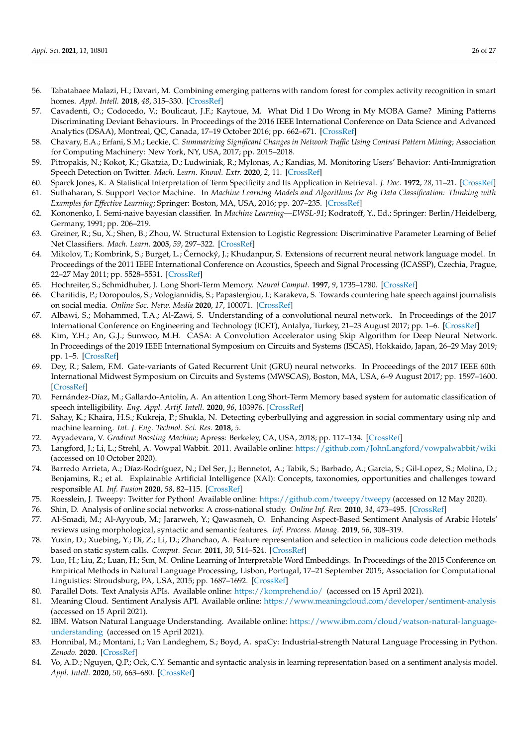- <span id="page-25-0"></span>56. Tabatabaee Malazi, H.; Davari, M. Combining emerging patterns with random forest for complex activity recognition in smart homes. *Appl. Intell.* **2018**, *48*, 315–330. [\[CrossRef\]](http://dx.doi.org/10.1007/s10489-017-0976-2)
- <span id="page-25-1"></span>57. Cavadenti, O.; Codocedo, V.; Boulicaut, J.F.; Kaytoue, M. What Did I Do Wrong in My MOBA Game? Mining Patterns Discriminating Deviant Behaviours. In Proceedings of the 2016 IEEE International Conference on Data Science and Advanced Analytics (DSAA), Montreal, QC, Canada, 17–19 October 2016; pp. 662–671. [\[CrossRef\]](http://dx.doi.org/10.1109/DSAA.2016.75)
- <span id="page-25-2"></span>58. Chavary, E.A.; Erfani, S.M.; Leckie, C. *Summarizing Significant Changes in Network Traffic Using Contrast Pattern Mining*; Association for Computing Machinery: New York, NY, USA, 2017; pp. 2015–2018.
- <span id="page-25-3"></span>59. Pitropakis, N.; Kokot, K.; Gkatzia, D.; Ludwiniak, R.; Mylonas, A.; Kandias, M. Monitoring Users' Behavior: Anti-Immigration Speech Detection on Twitter. *Mach. Learn. Knowl. Extr.* **2020**, *2*, 11. [\[CrossRef\]](http://dx.doi.org/10.3390/make2030011)
- <span id="page-25-4"></span>60. Sparck Jones, K. A Statistical Interpretation of Term Specificity and Its Application in Retrieval. *J. Doc.* **1972**, *28*, 11–21. [\[CrossRef\]](http://dx.doi.org/10.1108/eb026526)
- <span id="page-25-5"></span>61. Suthaharan, S. Support Vector Machine. In *Machine Learning Models and Algorithms for Big Data Classification: Thinking with Examples for Effective Learning*; Springer: Boston, MA, USA, 2016; pp. 207–235. [\[CrossRef\]](http://dx.doi.org/10.1007/978-1-4899-7641-3_9)
- <span id="page-25-6"></span>62. Kononenko, I. Semi-naive bayesian classifier. In *Machine Learning—EWSL-91*; Kodratoff, Y., Ed.; Springer: Berlin/Heidelberg, Germany, 1991; pp. 206–219.
- <span id="page-25-7"></span>63. Greiner, R.; Su, X.; Shen, B.; Zhou, W. Structural Extension to Logistic Regression: Discriminative Parameter Learning of Belief Net Classifiers. *Mach. Learn.* **2005**, *59*, 297–322. [\[CrossRef\]](http://dx.doi.org/10.1007/s10994-005-0469-0)
- <span id="page-25-8"></span>64. Mikolov, T.; Kombrink, S.; Burget, L.; Černocký, J.; Khudanpur, S. Extensions of recurrent neural network language model. In Proceedings of the 2011 IEEE International Conference on Acoustics, Speech and Signal Processing (ICASSP), Czechia, Prague, 22–27 May 2011; pp. 5528–5531. [\[CrossRef\]](http://dx.doi.org/10.1109/ICASSP.2011.5947611)
- <span id="page-25-9"></span>65. Hochreiter, S.; Schmidhuber, J. Long Short-Term Memory. *Neural Comput.* **1997**, *9*, 1735–1780. [\[CrossRef\]](http://dx.doi.org/10.1162/neco.1997.9.8.1735)
- <span id="page-25-10"></span>66. Charitidis, P.; Doropoulos, S.; Vologiannidis, S.; Papastergiou, I.; Karakeva, S. Towards countering hate speech against journalists on social media. *Online Soc. Netw. Media* **2020**, *17*, 100071. [\[CrossRef\]](http://dx.doi.org/10.1016/j.osnem.2020.100071)
- <span id="page-25-11"></span>67. Albawi, S.; Mohammed, T.A.; Al-Zawi, S. Understanding of a convolutional neural network. In Proceedings of the 2017 International Conference on Engineering and Technology (ICET), Antalya, Turkey, 21–23 August 2017; pp. 1–6. [\[CrossRef\]](http://dx.doi.org/10.1109/ICEngTechnol.2017.8308186)
- <span id="page-25-12"></span>68. Kim, Y.H.; An, G.J.; Sunwoo, M.H. CASA: A Convolution Accelerator using Skip Algorithm for Deep Neural Network. In Proceedings of the 2019 IEEE International Symposium on Circuits and Systems (ISCAS), Hokkaido, Japan, 26–29 May 2019; pp. 1–5. [\[CrossRef\]](http://dx.doi.org/10.1109/ISCAS.2019.8702307)
- <span id="page-25-13"></span>69. Dey, R.; Salem, F.M. Gate-variants of Gated Recurrent Unit (GRU) neural networks. In Proceedings of the 2017 IEEE 60th International Midwest Symposium on Circuits and Systems (MWSCAS), Boston, MA, USA, 6–9 August 2017; pp. 1597–1600. [\[CrossRef\]](http://dx.doi.org/10.1109/MWSCAS.2017.8053243)
- <span id="page-25-14"></span>70. Fernández-Díaz, M.; Gallardo-Antolín, A. An attention Long Short-Term Memory based system for automatic classification of speech intelligibility. *Eng. Appl. Artif. Intell.* **2020**, *96*, 103976. [\[CrossRef\]](http://dx.doi.org/10.1016/j.engappai.2020.103976)
- <span id="page-25-15"></span>71. Sahay, K.; Khaira, H.S.; Kukreja, P.; Shukla, N. Detecting cyberbullying and aggression in social commentary using nlp and machine learning. *Int. J. Eng. Technol. Sci. Res.* **2018**, *5*.
- <span id="page-25-16"></span>72. Ayyadevara, V. *Gradient Boosting Machine*; Apress: Berkeley, CA, USA, 2018; pp. 117–134. [\[CrossRef\]](http://dx.doi.org/10.1007/978-1-4842-3564-5_6)
- <span id="page-25-17"></span>73. Langford, J.; Li, L.; Strehl, A. Vowpal Wabbit. 2011. Available online: [https://github.com/JohnLangford/vowpalwabbit/wiki]( https://github. com/JohnLangford/vowpal wabbit/wiki) (accessed on 10 October 2020).
- <span id="page-25-18"></span>74. Barredo Arrieta, A.; Díaz-Rodríguez, N.; Del Ser, J.; Bennetot, A.; Tabik, S.; Barbado, A.; Garcia, S.; Gil-Lopez, S.; Molina, D.; Benjamins, R.; et al. Explainable Artificial Intelligence (XAI): Concepts, taxonomies, opportunities and challenges toward responsible AI. *Inf. Fusion* **2020**, *58*, 82–115. [\[CrossRef\]](http://dx.doi.org/10.1016/j.inffus.2019.12.012)
- <span id="page-25-19"></span>75. Roesslein, J. Tweepy: Twitter for Python! Available online: <https://github.com/tweepy/tweepy> (accessed on 12 May 2020).
- <span id="page-25-20"></span>76. Shin, D. Analysis of online social networks: A cross-national study. *Online Inf. Rev.* **2010**, *34*, 473–495. [\[CrossRef\]](http://dx.doi.org/10.1108/14684521011054080)
- <span id="page-25-21"></span>77. Al-Smadi, M.; Al-Ayyoub, M.; Jararweh, Y.; Qawasmeh, O. Enhancing Aspect-Based Sentiment Analysis of Arabic Hotels' reviews using morphological, syntactic and semantic features. *Inf. Process. Manag.* **2019**, *56*, 308–319.
- <span id="page-25-22"></span>78. Yuxin, D.; Xuebing, Y.; Di, Z.; Li, D.; Zhanchao, A. Feature representation and selection in malicious code detection methods based on static system calls. *Comput. Secur.* **2011**, *30*, 514–524. [\[CrossRef\]](http://dx.doi.org/10.1016/j.cose.2011.05.007)
- <span id="page-25-23"></span>79. Luo, H.; Liu, Z.; Luan, H.; Sun, M. Online Learning of Interpretable Word Embeddings. In Proceedings of the 2015 Conference on Empirical Methods in Natural Language Processing, Lisbon, Portugal, 17–21 September 2015; Association for Computational Linguistics: Stroudsburg, PA, USA, 2015; pp. 1687–1692. [\[CrossRef\]](http://dx.doi.org/10.18653/v1/D15-1196)
- <span id="page-25-24"></span>80. Parallel Dots. Text Analysis APIs. Available online: <https://komprehend.io/> (accessed on 15 April 2021).
- <span id="page-25-25"></span>81. Meaning Cloud. Sentiment Analysis API. Available online: <https://www.meaningcloud.com/developer/sentiment-analysis> (accessed on 15 April 2021).
- <span id="page-25-26"></span>82. IBM. Watson Natural Language Understanding. Available online: [https://www.ibm.com/cloud/watson-natural-language](https://www.ibm.com/cloud/watson-natural-language-understanding)[understanding](https://www.ibm.com/cloud/watson-natural-language-understanding) (accessed on 15 April 2021).
- <span id="page-25-27"></span>83. Honnibal, M.; Montani, I.; Van Landeghem, S.; Boyd, A. spaCy: Industrial-strength Natural Language Processing in Python. *Zenodo*. **2020**. [\[CrossRef\]](http://dx.doi.org/10.5281/zenodo.1212303)
- <span id="page-25-28"></span>84. Vo, A.D.; Nguyen, Q.P.; Ock, C.Y. Semantic and syntactic analysis in learning representation based on a sentiment analysis model. *Appl. Intell.* **2020**, *50*, 663–680. [\[CrossRef\]](http://dx.doi.org/10.1007/s10489-019-01540-2)